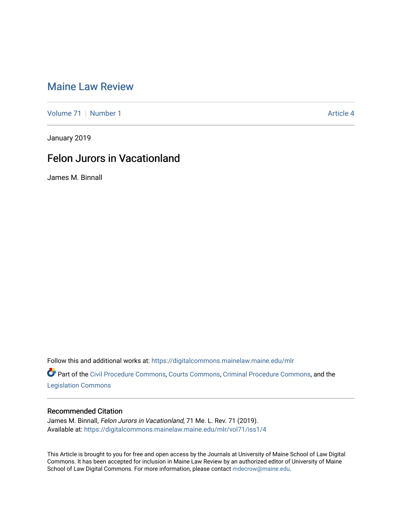# [Maine Law Review](https://digitalcommons.mainelaw.maine.edu/mlr)

[Volume 71](https://digitalcommons.mainelaw.maine.edu/mlr/vol71) [Number 1](https://digitalcommons.mainelaw.maine.edu/mlr/vol71/iss1) Article 4

January 2019

# Felon Jurors in Vacationland

James M. Binnall

Follow this and additional works at: [https://digitalcommons.mainelaw.maine.edu/mlr](https://digitalcommons.mainelaw.maine.edu/mlr?utm_source=digitalcommons.mainelaw.maine.edu%2Fmlr%2Fvol71%2Fiss1%2F4&utm_medium=PDF&utm_campaign=PDFCoverPages) 

Part of the [Civil Procedure Commons,](http://network.bepress.com/hgg/discipline/584?utm_source=digitalcommons.mainelaw.maine.edu%2Fmlr%2Fvol71%2Fiss1%2F4&utm_medium=PDF&utm_campaign=PDFCoverPages) [Courts Commons](http://network.bepress.com/hgg/discipline/839?utm_source=digitalcommons.mainelaw.maine.edu%2Fmlr%2Fvol71%2Fiss1%2F4&utm_medium=PDF&utm_campaign=PDFCoverPages), [Criminal Procedure Commons](http://network.bepress.com/hgg/discipline/1073?utm_source=digitalcommons.mainelaw.maine.edu%2Fmlr%2Fvol71%2Fiss1%2F4&utm_medium=PDF&utm_campaign=PDFCoverPages), and the [Legislation Commons](http://network.bepress.com/hgg/discipline/859?utm_source=digitalcommons.mainelaw.maine.edu%2Fmlr%2Fvol71%2Fiss1%2F4&utm_medium=PDF&utm_campaign=PDFCoverPages)

### Recommended Citation

James M. Binnall, Felon Jurors in Vacationland, 71 Me. L. Rev. 71 (2019). Available at: [https://digitalcommons.mainelaw.maine.edu/mlr/vol71/iss1/4](https://digitalcommons.mainelaw.maine.edu/mlr/vol71/iss1/4?utm_source=digitalcommons.mainelaw.maine.edu%2Fmlr%2Fvol71%2Fiss1%2F4&utm_medium=PDF&utm_campaign=PDFCoverPages) 

This Article is brought to you for free and open access by the Journals at University of Maine School of Law Digital Commons. It has been accepted for inclusion in Maine Law Review by an authorized editor of University of Maine School of Law Digital Commons. For more information, please contact [mdecrow@maine.edu.](mailto:mdecrow@maine.edu)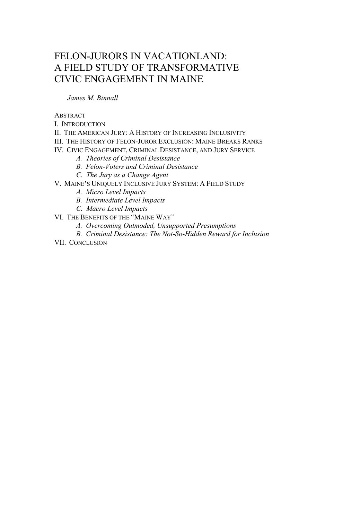## FELON-JURORS IN VACATIONLAND: A FIELD STUDY OF TRANSFORMATIVE CIVIC ENGAGEMENT IN MAINE

### *James M. Binnall*

#### ABSTRACT

I. INTRODUCTION

II. THE AMERICAN JURY: A HISTORY OF INCREASING INCLUSIVITY

III. THE HISTORY OF FELON-JUROR EXCLUSION: MAINE BREAKS RANKS

- IV. CIVIC ENGAGEMENT, CRIMINAL DESISTANCE, AND JURY SERVICE
	- *A. Theories of Criminal Desistance*
	- *B. Felon-Voters and Criminal Desistance*
	- *C. The Jury as a Change Agent*
- V. MAINE'S UNIQUELY INCLUSIVE JURY SYSTEM: A FIELD STUDY
	- *A. Micro Level Impacts*
	- *B. Intermediate Level Impacts*
	- *C. Macro Level Impacts*
- VI. THE BENEFITS OF THE "MAINE WAY"
	- *A. Overcoming Outmoded, Unsupported Presumptions*
	- *B. Criminal Desistance: The Not-So-Hidden Reward for Inclusion*
- VII. CONCLUSION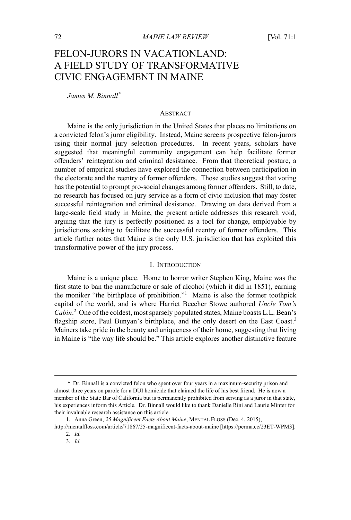## FELON-JURORS IN VACATIONLAND: A FIELD STUDY OF TRANSFORMATIVE CIVIC ENGAGEMENT IN MAINE

*James M. Binnall\**

#### **ABSTRACT**

Maine is the only jurisdiction in the United States that places no limitations on a convicted felon's juror eligibility. Instead, Maine screens prospective felon-jurors using their normal jury selection procedures. In recent years, scholars have suggested that meaningful community engagement can help facilitate former offenders' reintegration and criminal desistance. From that theoretical posture, a number of empirical studies have explored the connection between participation in the electorate and the reentry of former offenders. Those studies suggest that voting has the potential to prompt pro-social changes among former offenders. Still, to date, no research has focused on jury service as a form of civic inclusion that may foster successful reintegration and criminal desistance. Drawing on data derived from a large-scale field study in Maine, the present article addresses this research void, arguing that the jury is perfectly positioned as a tool for change, employable by jurisdictions seeking to facilitate the successful reentry of former offenders. This article further notes that Maine is the only U.S. jurisdiction that has exploited this transformative power of the jury process.

#### I. INTRODUCTION

Maine is a unique place. Home to horror writer Stephen King, Maine was the first state to ban the manufacture or sale of alcohol (which it did in 1851), earning the moniker "the birthplace of prohibition."<sup>1</sup> Maine is also the former toothpick capital of the world, and is where Harriet Beecher Stowe authored *Uncle Tom's Cabin*. <sup>2</sup> One of the coldest, most sparsely populated states, Maine boasts L.L. Bean's flagship store, Paul Bunyan's birthplace, and the only desert on the East Coast.<sup>3</sup> Mainers take pride in the beauty and uniqueness of their home, suggesting that living in Maine is "the way life should be." This article explores another distinctive feature

<sup>\*</sup> Dr. Binnall is a convicted felon who spent over four years in a maximum-security prison and almost three years on parole for a DUI homicide that claimed the life of his best friend. He is now a member of the State Bar of California but is permanently prohibited from serving as a juror in that state, his experiences inform this Article. Dr. Binnall would like to thank Danielle Rini and Laurie Minter for their invaluable research assistance on this article.

<sup>1.</sup> Anna Green, *25 Magnificent Facts About Maine*, MENTAL FLOSS (Dec. 4, 2015),

http://mentalfloss.com/article/71867/25-magnificent-facts-about-maine [https://perma.cc/23ET-WPM3].

<sup>2.</sup> *Id.*

<sup>3.</sup> *Id.*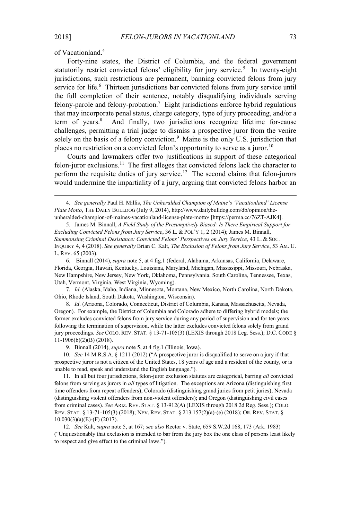of Vacationland.4

Forty-nine states, the District of Columbia, and the federal government statutorily restrict convicted felons' eligibility for jury service.<sup>5</sup> In twenty-eight jurisdictions, such restrictions are permanent, banning convicted felons from jury service for life.<sup>6</sup> Thirteen jurisdictions bar convicted felons from jury service until the full completion of their sentence, notably disqualifying individuals serving felony-parole and felony-probation.<sup>7</sup> Eight jurisdictions enforce hybrid regulations that may incorporate penal status, charge category, type of jury proceeding, and/or a term of years.8 And finally, two jurisdictions recognize lifetime for-cause challenges, permitting a trial judge to dismiss a prospective juror from the venire solely on the basis of a felony conviction.<sup>9</sup> Maine is the only U.S. jurisdiction that places no restriction on a convicted felon's opportunity to serve as a juror.<sup>10</sup>

Courts and lawmakers offer two justifications in support of these categorical felon-juror exclusions.11 The first alleges that convicted felons lack the character to perform the requisite duties of jury service.12 The second claims that felon-jurors would undermine the impartiality of a jury, arguing that convicted felons harbor an

7. *Id.* (Alaska, Idaho, Indiana, Minnesota, Montana, New Mexico, North Carolina, North Dakota, Ohio, Rhode Island, South Dakota, Washington, Wisconsin).

8. *Id*. (Arizona, Colorado, Connecticut, District of Columbia, Kansas, Massachusetts, Nevada, Oregon). For example, the District of Columbia and Colorado adhere to differing hybrid models; the former excludes convicted felons from jury service during any period of supervision and for ten years following the termination of supervision, while the latter excludes convicted felons solely from grand jury proceedings. *See* COLO. REV. STAT. § 13-71-105(3) (LEXIS through 2018 Leg. Sess.); D.C. CODE § 11-1906(b)(2)(B) (2018).

9. Binnall (2014), *supra* note 5, at 4 fig.1 (Illinois, Iowa).

10. *See* 14 M.R.S.A. § 1211 (2012) ("A prospective juror is disqualified to serve on a jury if that prospective juror is not a citizen of the United States, 18 years of age and a resident of the county, or is unable to read, speak and understand the English language.").

<sup>4.</sup> *See generally* Paul H. Millis, *The Unheralded Champion of Maine's 'Vacationland' License Plate Motto*, THE DAILY BULLDOG (July 9, 2014), http://www.dailybulldog.com/db/opinion/theunheralded-champion-of-maines-vacationland-license-plate-motto/ [https://perma.cc/76ZT-AJK4].

<sup>5.</sup> James M. Binnall, *A Field Study of the Presumptively Biased: Is There Empirical Support for Excluding Convicted Felons from Jury Service*, 36 L. & POL'Y 1, 2 (2014); James M. Binnall, *Summonsing Criminal Desistance: Convicted Felons' Perspectives on Jury Service*, 43 L. & SOC. INQUIRY 4, 4 (2018). *See generally* Brian C. Kalt, *The Exclusion of Felons from Jury Service*, 53 AM. U. L. REV. 65 (2003).

<sup>6.</sup> Binnall (2014), *supra* note 5, at 4 fig.1 (federal, Alabama, Arkansas, California, Delaware, Florida, Georgia, Hawaii, Kentucky, Louisiana, Maryland, Michigan, Mississippi, Missouri, Nebraska, New Hampshire, New Jersey, New York, Oklahoma, Pennsylvania, South Carolina, Tennessee, Texas, Utah, Vermont, Virginia, West Virginia, Wyoming).

<sup>11.</sup> In all but four jurisdictions, felon-juror exclusion statutes are categorical, barring *all* convicted felons from serving as jurors in *all* types of litigation. The exceptions are Arizona (distinguishing first time offenders from repeat offenders); Colorado (distinguishing grand juries from petit juries); Nevada (distinguishing violent offenders from non-violent offenders); and Oregon (distinguishing civil cases from criminal cases). *See* ARIZ. REV. STAT. § 13-912(A) (LEXIS through 2018 2d Reg. Sess.); COLO. REV. STAT. § 13-71-105(3) (2018); NEV. REV. STAT. § 213.157(2)(a)-(e) (2018); OR. REV. STAT. § 10.030(3)(a)(E)-(F) (2017).

<sup>12.</sup> *See* Kalt, *supra* note 5, at 167; *see also* Rector v. State, 659 S.W.2d 168, 173 (Ark. 1983) ("Unquestionably that exclusion is intended to bar from the jury box the one class of persons least likely to respect and give effect to the criminal laws.").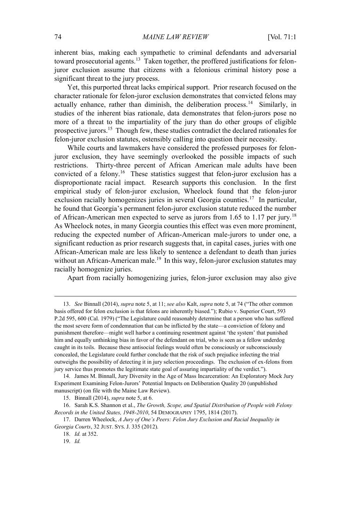inherent bias, making each sympathetic to criminal defendants and adversarial toward prosecutorial agents.<sup>13</sup> Taken together, the proffered justifications for felonjuror exclusion assume that citizens with a felonious criminal history pose a significant threat to the jury process.

Yet, this purported threat lacks empirical support. Prior research focused on the character rationale for felon-juror exclusion demonstrates that convicted felons may actually enhance, rather than diminish, the deliberation process.<sup>14</sup> Similarly, in studies of the inherent bias rationale, data demonstrates that felon-jurors pose no more of a threat to the impartiality of the jury than do other groups of eligible prospective jurors.15 Though few, these studies contradict the declared rationales for felon-juror exclusion statutes, ostensibly calling into question their necessity.

While courts and lawmakers have considered the professed purposes for felonjuror exclusion, they have seemingly overlooked the possible impacts of such restrictions. Thirty-three percent of African American male adults have been convicted of a felony.<sup>16</sup> These statistics suggest that felon-juror exclusion has a disproportionate racial impact. Research supports this conclusion. In the first empirical study of felon-juror exclusion, Wheelock found that the felon-juror exclusion racially homogenizes juries in several Georgia counties.<sup>17</sup> In particular, he found that Georgia's permanent felon-juror exclusion statute reduced the number of African-American men expected to serve as jurors from 1.65 to 1.17 per jury.18 As Wheelock notes, in many Georgia counties this effect was even more prominent, reducing the expected number of African-American male-jurors to under one, a significant reduction as prior research suggests that, in capital cases, juries with one African-American male are less likely to sentence a defendant to death than juries without an African-American male.<sup>19</sup> In this way, felon-juror exclusion statutes may racially homogenize juries.

Apart from racially homogenizing juries, felon-juror exclusion may also give

<sup>13.</sup> *See* Binnall (2014), *supra* note 5, at 11; *see also* Kalt, *supra* note 5, at 74 ("The other common basis offered for felon exclusion is that felons are inherently biased."); Rubio v. Superior Court, 593 P.2d 595, 600 (Cal. 1979) ("The Legislature could reasonably determine that a person who has suffered the most severe form of condemnation that can be inflicted by the state—a conviction of felony and punishment therefore—might well harbor a continuing resentment against 'the system' that punished him and equally unthinking bias in favor of the defendant on trial, who is seen as a fellow underdog caught in its toils. Because these antisocial feelings would often be consciously or subconsciously concealed, the Legislature could further conclude that the risk of such prejudice infecting the trial outweighs the possibility of detecting it in jury selection proceedings. The exclusion of ex-felons from jury service thus promotes the legitimate state goal of assuring impartiality of the verdict.").

<sup>14.</sup> James M. Binnall, Jury Diversity in the Age of Mass Incarceration: An Exploratory Mock Jury Experiment Examining Felon-Jurors' Potential Impacts on Deliberation Quality 20 (unpublished manuscript) (on file with the Maine Law Review).

<sup>15.</sup> Binnall (2014), *supra* note 5, at 6.

<sup>16.</sup> Sarah K.S. Shannon et al., *The Growth, Scope, and Spatial Distribution of People with Felony Records in the United States, 1948-2010*, 54 DEMOGRAPHY 1795, 1814 (2017).

<sup>17.</sup> Darren Wheelock, *A Jury of One's Peers: Felon Jury Exclusion and Racial Inequality in Georgia Courts*, 32 JUST. SYS. J. 335 (2012).

<sup>18.</sup> *Id.* at 352.

<sup>19.</sup> *Id.*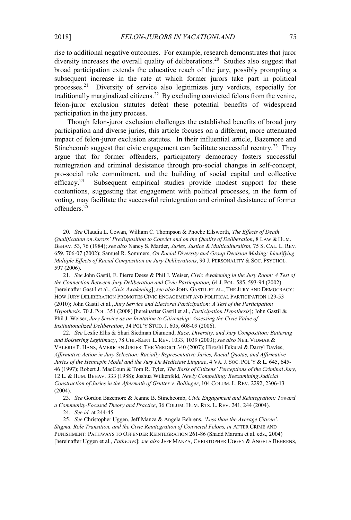1

rise to additional negative outcomes. For example, research demonstrates that juror diversity increases the overall quality of deliberations.<sup>20</sup> Studies also suggest that broad participation extends the educative reach of the jury, possibly prompting a subsequent increase in the rate at which former jurors take part in political processes.21 Diversity of service also legitimizes jury verdicts, especially for traditionally marginalized citizens.<sup>22</sup> By excluding convicted felons from the venire, felon-juror exclusion statutes defeat these potential benefits of widespread participation in the jury process.

Though felon-juror exclusion challenges the established benefits of broad jury participation and diverse juries, this article focuses on a different, more attenuated impact of felon-juror exclusion statutes. In their influential article, Bazemore and Stinchcomb suggest that civic engagement can facilitate successful reentry.<sup>23</sup> They argue that for former offenders, participatory democracy fosters successful reintegration and criminal desistance through pro-social changes in self-concept, pro-social role commitment, and the building of social capital and collective efficacy.24 Subsequent empirical studies provide modest support for these contentions, suggesting that engagement with political processes, in the form of voting, may facilitate the successful reintegration and criminal desistance of former offenders.25

21. *See* John Gastil, E. Pierre Deess & Phil J. Weiser, *Civic Awakening in the Jury Room: A Test of the Connection Between Jury Deliberation and Civic Participation,* 64 J. POL. 585, 593-94 (2002) [hereinafter Gastil et al., *Civic Awakening*]; *see also* JOHN GASTIL ET AL., THE JURY AND DEMOCRACY: HOW JURY DELIBERATION PROMOTES CIVIC ENGAGEMENT AND POLITICAL PARTICIPATION 129-53 (2010); John Gastil et al., *Jury Service and Electoral Participation: A Test of the Participation Hypothesis*, 70 J. POL. 351 (2008) [hereinafter Gastil et al., *Participation Hypothesis*]; John Gastil & Phil J. Weiser, *Jury Service as an Invitation to Citizenship: Assessing the Civic Value of Institutionalized Deliberation*, 34 POL'Y STUD. J. 605, 608-09 (2006).

22. *See* Leslie Ellis & Shari Siedman Diamond, *Race, Diversity, and Jury Composition: Battering and Bolstering Legitimacy*, 78 CHI.-KENT L. REV. 1033, 1039 (2003); *see also* NEIL VIDMAR & VALERIE P. HANS, AMERICAN JURIES: THE VERDICT 340 (2007); Hiroshi Fukurai & Darryl Davies, *Affirmative Action in Jury Selection: Racially Representative Juries, Racial Quotas, and Affirmative Juries of the Hennepin Model and the Jury De Medietate Linguae*, 4 VA. J. SOC. POL'Y & L. 645, 645- 46 (1997); Robert J. MacCoun & Tom R. Tyler, *The Basis of Citizens' Perceptions of the Criminal Jury*, 12 L. & HUM. BEHAV. 333 (1988); Joshua Wilkenfeld, *Newly Compelling: Reexamining Judicial Construction of Juries in the Aftermath of Grutter v. Bollinger*, 104 COLUM. L. REV. 2292, 2306-13 (2004).

23. *See* Gordon Bazemore & Jeanne B. Stinchcomb, *Civic Engagement and Reintegration: Toward a Community-Focused Theory and Practice*, 36 COLUM. HUM. RTS. L. REV. 241, 244 (2004).

24. *See id.* at 244-45.

25. *See* Christopher Uggen, Jeff Manza & Angela Behrens, *'Less than the Average Citizen': Stigma, Role Transition, and the Civic Reintegration of Convicted Felons, in AFTER CRIME AND* PUNISHMENT: PATHWAYS TO OFFENDER REINTEGRATION 261-86 (Shadd Maruna et al. eds., 2004) [hereinafter Uggen et al., *Pathways*]; *see also* JEFF MANZA, CHRISTOPHER UGGEN & ANGELA BEHRENS,

<sup>20.</sup> *See* Claudia L. Cowan, William C. Thompson & Phoebe Ellsworth, *The Effects of Death Qualification on Jurors' Predisposition to Convict and on the Quality of Deliberation*, 8 LAW & HUM. BEHAV. 53, 76 (1984); *see also* Nancy S. Marder, *Juries, Justice & Multiculturalism*, 75 S. CAL. L. REV. 659, 706-07 (2002); Samuel R. Sommers, *On Racial Diversity and Group Decision Making: Identifying Multiple Effects of Racial Composition on Jury Deliberations*, 90 J. PERSONALITY & SOC. PSYCHOL. 597 (2006).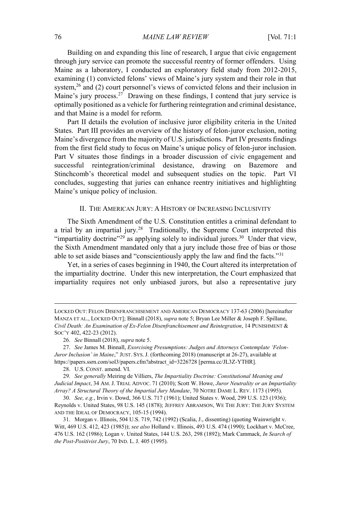Building on and expanding this line of research, I argue that civic engagement through jury service can promote the successful reentry of former offenders. Using Maine as a laboratory, I conducted an exploratory field study from 2012-2015, examining (1) convicted felons' views of Maine's jury system and their role in that system,<sup>26</sup> and (2) court personnel's views of convicted felons and their inclusion in Maine's jury process.<sup>27</sup> Drawing on these findings, I contend that jury service is optimally positioned as a vehicle for furthering reintegration and criminal desistance, and that Maine is a model for reform.

Part II details the evolution of inclusive juror eligibility criteria in the United States. Part III provides an overview of the history of felon-juror exclusion, noting Maine's divergence from the majority of U.S. jurisdictions. Part IV presents findings from the first field study to focus on Maine's unique policy of felon-juror inclusion. Part V situates those findings in a broader discussion of civic engagement and successful reintegration/criminal desistance, drawing on Bazemore and Stinchcomb's theoretical model and subsequent studies on the topic. Part VI concludes, suggesting that juries can enhance reentry initiatives and highlighting Maine's unique policy of inclusion.

#### II. THE AMERICAN JURY: A HISTORY OF INCREASING INCLUSIVITY

The Sixth Amendment of the U.S. Constitution entitles a criminal defendant to a trial by an impartial jury.<sup>28</sup> Traditionally, the Supreme Court interpreted this "impartiality doctrine"<sup>29</sup> as applying solely to individual jurors.<sup>30</sup> Under that view, the Sixth Amendment mandated only that a jury include those free of bias or those able to set aside biases and "conscientiously apply the law and find the facts."<sup>31</sup>

Yet, in a series of cases beginning in 1940, the Court altered its interpretation of the impartiality doctrine. Under this new interpretation, the Court emphasized that impartiality requires not only unbiased jurors, but also a representative jury

LOCKED OUT: FELON DISENFRANCHISEMENT AND AMERICAN DEMOCRACY 137-63 (2006) [hereinafter MANZA ET AL., LOCKED OUT]; Binnall (2018), *supra* note 5; Bryan Lee Miller & Joseph F. Spillane, *Civil Death: An Examination of Ex-Felon Disenfranchisement and Reintegration*, 14 PUNISHMENT & SOC'Y 402, 422-23 (2012).

<sup>26.</sup> *See* Binnall (2018), *supra* note 5.

<sup>27.</sup> *See* James M. Binnall, *Exorcising Presumptions: Judges and Attorneys Contemplate 'Felon-Juror Inclusion' in Maine*," JUST. SYS. J. (forthcoming 2018) (manuscript at 26-27), available at https://papers.ssrn.com/sol3/papers.cfm?abstract\_id=3226728 [perma.cc/JL3Z-YTHR].

<sup>28.</sup> U.S. CONST. amend. VI.

<sup>29.</sup> *See generally* Meiring de Villiers, *The Impartiality Doctrine: Constitutional Meaning and Judicial Impact*, 34 AM. J. TRIAL ADVOC. 71 (2010); Scott W. Howe, *Juror Neutrality or an Impartiality Array? A Structural Theory of the Impartial Jury Mandate*, 70 NOTRE DAME L. REV. 1173 (1995).

<sup>30.</sup> *See, e.g.*, Irvin v. Dowd, 366 U.S. 717 (1961); United States v. Wood, 299 U.S. 123 (1936); Reynolds v. United States, 98 U.S. 145 (1878); JEFFREY ABRAMSON, WE THE JURY: THE JURY SYSTEM AND THE IDEAL OF DEMOCRACY, 105-15 (1994).

<sup>31.</sup> Morgan v. Illinois, 504 U.S. 719, 742 (1992) (Scalia, J., dissenting) (quoting Wainwright v. Witt, 469 U.S. 412, 423 (1985)); *see also* Holland v. Illinois, 493 U.S. 474 (1990); Lockhart v. McCree, 476 U.S. 162 (1986); Logan v. United States, 144 U.S. 263, 298 (1892); Mark Cammack, *In Search of the Post-Positivist Jury*, 70 IND. L. J. 405 (1995).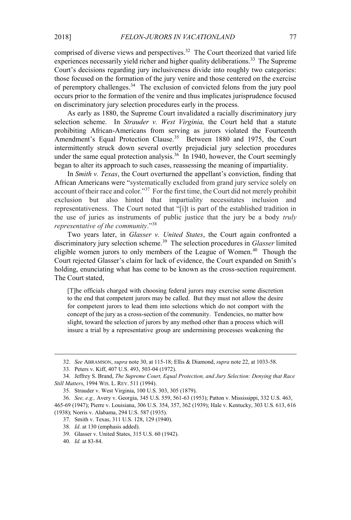comprised of diverse views and perspectives.<sup>32</sup> The Court theorized that varied life experiences necessarily yield richer and higher quality deliberations.<sup>33</sup> The Supreme Court's decisions regarding jury inclusiveness divide into roughly two categories: those focused on the formation of the jury venire and those centered on the exercise of peremptory challenges.<sup>34</sup> The exclusion of convicted felons from the jury pool occurs prior to the formation of the venire and thus implicates jurisprudence focused on discriminatory jury selection procedures early in the process.

As early as 1880, the Supreme Court invalidated a racially discriminatory jury selection scheme. In *Strauder v. West Virginia,* the Court held that a statute prohibiting African-Americans from serving as jurors violated the Fourteenth Amendment's Equal Protection Clause.<sup>35</sup> Between 1880 and 1975, the Court intermittently struck down several overtly prejudicial jury selection procedures under the same equal protection analysis.<sup>36</sup> In 1940, however, the Court seemingly began to alter its approach to such cases, reassessing the meaning of impartiality.

In *Smith v. Texas*, the Court overturned the appellant's conviction, finding that African Americans were "systematically excluded from grand jury service solely on account of their race and color."<sup>37</sup> For the first time, the Court did not merely prohibit exclusion but also hinted that impartiality necessitates inclusion and representativeness. The Court noted that "[i]t is part of the established tradition in the use of juries as instruments of public justice that the jury be a body *truly representative of the community*."<sup>38</sup>

Two years later, in *Glasser v. United States*, the Court again confronted a discriminatory jury selection scheme.39 The selection procedures in *Glasser* limited eligible women jurors to only members of the League of Women.<sup>40</sup> Though the Court rejected Glasser's claim for lack of evidence, the Court expanded on Smith's holding, enunciating what has come to be known as the cross-section requirement. The Court stated,

[T]he officials charged with choosing federal jurors may exercise some discretion to the end that competent jurors may be called. But they must not allow the desire for competent jurors to lead them into selections which do not comport with the concept of the jury as a cross-section of the community. Tendencies, no matter how slight, toward the selection of jurors by any method other than a process which will insure a trial by a representative group are undermining processes weakening the

40. *Id.* at 83-84.

<sup>32.</sup> *See* ABRAMSON, *supra* note 30, at 115-18; Ellis & Diamond, *supra* note 22, at 1033-58.

<sup>33.</sup> Peters v. Kiff, 407 U.S. 493, 503-04 (1972).

<sup>34.</sup> Jeffrey S. Brand, *The Supreme Court, Equal Protection, and Jury Selection: Denying that Race Still Matters*, 1994 WIS. L. REV. 511 (1994).

<sup>35.</sup> Strauder v. West Virginia, 100 U.S. 303, 305 (1879).

<sup>36.</sup> *See, e.g.,* Avery v. Georgia, 345 U.S. 559, 561-63 (1953); Patton v. Mississippi, 332 U.S. 463, 465-69 (1947); Pierre v. Louisiana, 306 U.S. 354, 357, 362 (1939); Hale v. Kentucky, 303 U.S. 613, 616 (1938); Norris v. Alabama, 294 U.S. 587 (1935).

<sup>37.</sup> Smith v. Texas, 311 U.S. 128, 129 (1940).

<sup>38.</sup> *Id*. at 130 (emphasis added).

<sup>39.</sup> Glasser v. United States, 315 U.S. 60 (1942).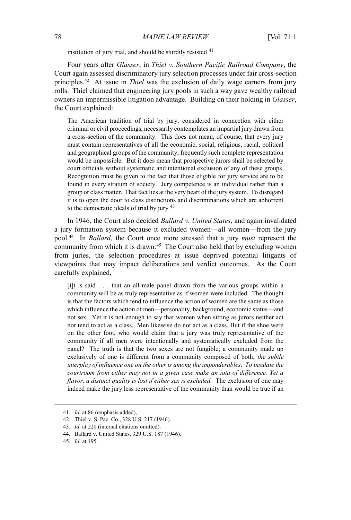institution of jury trial, and should be sturdily resisted.<sup>41</sup>

Four years after *Glasser*, in *Thiel v. Southern Pacific Railroad Company*, the Court again assessed discriminatory jury selection processes under fair cross-section principles.42 At issue in *Thiel* was the exclusion of daily wage earners from jury rolls. Thiel claimed that engineering jury pools in such a way gave wealthy railroad owners an impermissible litigation advantage. Building on their holding in *Glasser*, the Court explained:

The American tradition of trial by jury, considered in connection with either criminal or civil proceedings, necessarily contemplates an impartial jury drawn from a cross-section of the community. This does not mean, of course, that every jury must contain representatives of all the economic, social, religious, racial, political and geographical groups of the community; frequently such complete representation would be impossible. But it does mean that prospective jurors shall be selected by court officials without systematic and intentional exclusion of any of these groups. Recognition must be given to the fact that those eligible for jury service are to be found in every stratum of society. Jury competence is an individual rather than a group or class matter. That fact lies at the very heart of the jury system. To disregard it is to open the door to class distinctions and discriminations which are abhorrent to the democratic ideals of trial by jury. $43$ 

In 1946, the Court also decided *Ballard v. United States*, and again invalidated a jury formation system because it excluded women—all women—from the jury pool.44 In *Ballard*, the Court once more stressed that a jury *must* represent the community from which it is drawn.<sup>45</sup> The Court also held that by excluding women from juries, the selection procedures at issue deprived potential litigants of viewpoints that may impact deliberations and verdict outcomes. As the Court carefully explained,

[i]t is said . . . that an all-male panel drawn from the various groups within a community will be as truly representative as if women were included. The thought is that the factors which tend to influence the action of women are the same as those which influence the action of men—personality, background, economic status—and not sex. Yet it is not enough to say that women when sitting as jurors neither act nor tend to act as a class. Men likewise do not act as a class. But if the shoe were on the other foot, who would claim that a jury was truly representative of the community if all men were intentionally and systematically excluded from the panel? The truth is that the two sexes are not fungible; a community made up exclusively of one is different from a community composed of both; *the subtle interplay of influence one on the other is among the imponderables*. *To insulate the courtroom from either may not in a given case make an iota of difference. Yet a flavor, a distinct quality is lost if either sex is excluded.* The exclusion of one may indeed make the jury less representative of the community than would be true if an

<sup>41.</sup> *Id.* at 86 (emphasis added),

<sup>42.</sup> Thiel v. S. Pac. Co., 328 U.S. 217 (1946).

<sup>43.</sup> *Id*. at 220 (internal citations omitted).

<sup>44.</sup> Ballard v. United States, 329 U.S. 187 (1946).

<sup>45.</sup> *Id.* at 195.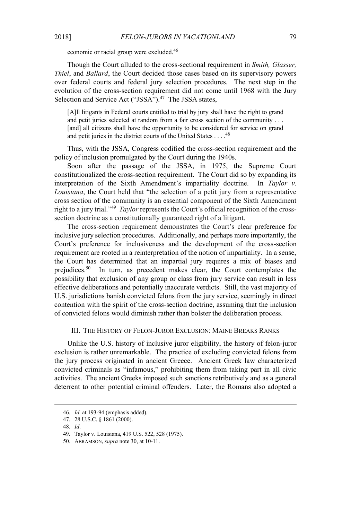economic or racial group were excluded.<sup>46</sup>

Though the Court alluded to the cross-sectional requirement in *Smith, Glasser, Thiel*, and *Ballard*, the Court decided those cases based on its supervisory powers over federal courts and federal jury selection procedures. The next step in the evolution of the cross-section requirement did not come until 1968 with the Jury Selection and Service Act ("JSSA").<sup>47</sup> The JSSA states,

[A]ll litigants in Federal courts entitled to trial by jury shall have the right to grand and petit juries selected at random from a fair cross section of the community . . . [and] all citizens shall have the opportunity to be considered for service on grand and petit juries in the district courts of the United States . . . .48

Thus, with the JSSA, Congress codified the cross-section requirement and the policy of inclusion promulgated by the Court during the 1940s.

Soon after the passage of the JSSA, in 1975, the Supreme Court constitutionalized the cross-section requirement. The Court did so by expanding its interpretation of the Sixth Amendment's impartiality doctrine. In *Taylor v. Louisiana*, the Court held that "the selection of a petit jury from a representative cross section of the community is an essential component of the Sixth Amendment right to a jury trial."<sup>49</sup> *Taylor* represents the Court's official recognition of the crosssection doctrine as a constitutionally guaranteed right of a litigant.

The cross-section requirement demonstrates the Court's clear preference for inclusive jury selection procedures. Additionally, and perhaps more importantly, the Court's preference for inclusiveness and the development of the cross-section requirement are rooted in a reinterpretation of the notion of impartiality. In a sense, the Court has determined that an impartial jury requires a mix of biases and prejudices.50 In turn, as precedent makes clear, the Court contemplates the possibility that exclusion of any group or class from jury service can result in less effective deliberations and potentially inaccurate verdicts. Still, the vast majority of U.S. jurisdictions banish convicted felons from the jury service, seemingly in direct contention with the spirit of the cross-section doctrine, assuming that the inclusion of convicted felons would diminish rather than bolster the deliberation process.

#### III. THE HISTORY OF FELON-JUROR EXCLUSION: MAINE BREAKS RANKS

Unlike the U.S. history of inclusive juror eligibility, the history of felon-juror exclusion is rather unremarkable. The practice of excluding convicted felons from the jury process originated in ancient Greece. Ancient Greek law characterized convicted criminals as "infamous," prohibiting them from taking part in all civic activities. The ancient Greeks imposed such sanctions retributively and as a general deterrent to other potential criminal offenders. Later, the Romans also adopted a

<sup>46.</sup> *Id.* at 193-94 (emphasis added).

<sup>47. 28</sup> U.S.C. § 1861 (2000).

<sup>48.</sup> *Id*.

<sup>49.</sup> Taylor v. Louisiana, 419 U.S. 522, 528 (1975).

<sup>50.</sup> ABRAMSON, *supra* note 30, at 10-11.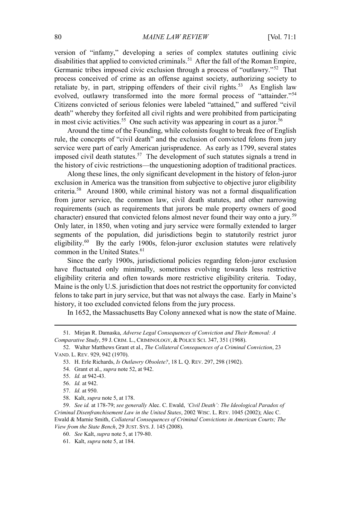version of "infamy," developing a series of complex statutes outlining civic disabilities that applied to convicted criminals.<sup>51</sup> After the fall of the Roman Empire, Germanic tribes imposed civic exclusion through a process of "outlawry."<sup>52</sup> That process conceived of crime as an offense against society, authorizing society to retaliate by, in part, stripping offenders of their civil rights.<sup>53</sup> As English law evolved, outlawry transformed into the more formal process of "attainder."<sup>54</sup> Citizens convicted of serious felonies were labeled "attained," and suffered "civil death" whereby they forfeited all civil rights and were prohibited from participating in most civic activities.<sup>55</sup> One such activity was appearing in court as a juror.<sup>56</sup>

Around the time of the Founding, while colonists fought to break free of English rule, the concepts of "civil death" and the exclusion of convicted felons from jury service were part of early American jurisprudence. As early as 1799, several states imposed civil death statutes.<sup>57</sup> The development of such statutes signals a trend in the history of civic restrictions—the unquestioning adoption of traditional practices.

Along these lines, the only significant development in the history of felon-juror exclusion in America was the transition from subjective to objective juror eligibility criteria.58 Around 1800, while criminal history was not a formal disqualification from juror service, the common law, civil death statutes, and other narrowing requirements (such as requirements that jurors be male property owners of good character) ensured that convicted felons almost never found their way onto a jury.<sup>59</sup> Only later, in 1850, when voting and jury service were formally extended to larger segments of the population, did jurisdictions begin to statutorily restrict juror eligibility.<sup>60</sup> By the early 1900s, felon-juror exclusion statutes were relatively common in the United States.<sup>61</sup>

Since the early 1900s, jurisdictional policies regarding felon-juror exclusion have fluctuated only minimally, sometimes evolving towards less restrictive eligibility criteria and often towards more restrictive eligibility criteria. Today, Maine is the only U.S. jurisdiction that does not restrict the opportunity for convicted felons to take part in jury service, but that was not always the case. Early in Maine's history, it too excluded convicted felons from the jury process.

In 1652, the Massachusetts Bay Colony annexed what is now the state of Maine.

 $\overline{a}$ 

58. Kalt, *supra* note 5, at 178.

<sup>51.</sup> Mirjan R. Damaska, *Adverse Legal Consequences of Conviction and Their Removal: A Comparative Study*, 59 J. CRIM. L., CRIMINOLOGY,&POLICE SCI. 347, 351 (1968).

<sup>52.</sup> Walter Matthews Grant et al., *The Collateral Consequences of a Criminal Conviction*, 23 VAND. L. REV. 929, 942 (1970).

<sup>53.</sup> H. Erle Richards, *Is Outlawry Obsolete?*, 18 L. Q. REV. 297, 298 (1902).

<sup>54.</sup> Grant et al., *supra* note 52, at 942.

<sup>55.</sup> *Id.* at 942-43.

<sup>56.</sup> *Id.* at 942.

<sup>57.</sup> *Id.* at 950.

<sup>59.</sup> *See id.* at 178-79; *see generally* Alec. C. Ewald, *'Civil Death': The Ideological Paradox of Criminal Disenfranchisement Law in the United States*, 2002 WISC. L. REV. 1045 (2002); Alec C. Ewald & Marnie Smith, *Collateral Consequences of Criminal Convictions in American Courts; The View from the State Bench*, 29 JUST. SYS. J. 145 (2008).

<sup>60.</sup> *See* Kalt, *supra* note 5, at 179-80.

<sup>61.</sup> Kalt, *supra* note 5, at 184.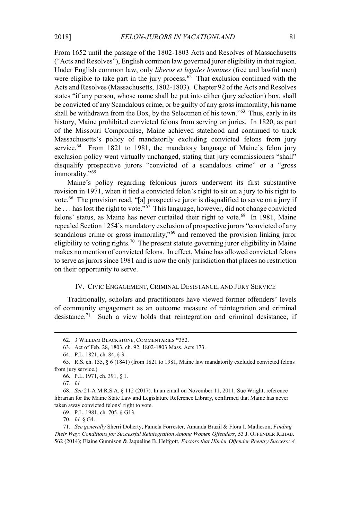From 1652 until the passage of the 1802-1803 Acts and Resolves of Massachusetts ("Acts and Resolves"), English common law governed juror eligibility in that region. Under English common law, only *liberos et legales homines* (free and lawful men) were eligible to take part in the jury process.<sup>62</sup> That exclusion continued with the Acts and Resolves (Massachusetts, 1802-1803). Chapter 92 of the Acts and Resolves states "if any person, whose name shall be put into either (jury selection) box, shall be convicted of any Scandalous crime, or be guilty of any gross immorality, his name shall be withdrawn from the Box, by the Selectmen of his town."<sup>63</sup> Thus, early in its history, Maine prohibited convicted felons from serving on juries. In 1820, as part of the Missouri Compromise, Maine achieved statehood and continued to track Massachusetts's policy of mandatorily excluding convicted felons from jury service.<sup>64</sup> From 1821 to 1981, the mandatory language of Maine's felon jury exclusion policy went virtually unchanged, stating that jury commissioners "shall" disqualify prospective jurors "convicted of a scandalous crime" or a "gross immorality."<sup>65</sup>

Maine's policy regarding felonious jurors underwent its first substantive revision in 1971, when it tied a convicted felon's right to sit on a jury to his right to vote.<sup>66</sup> The provision read, "[a] prospective juror is disqualified to serve on a jury if he ... has lost the right to vote."<sup>67</sup> This language, however, did not change convicted felons' status, as Maine has never curtailed their right to vote.<sup>68</sup> In 1981, Maine repealed Section 1254's mandatory exclusion of prospective jurors "convicted of any scandalous crime or gross immorality,"<sup>69</sup> and removed the provision linking juror eligibility to voting rights.<sup>70</sup> The present statute governing juror eligibility in Maine makes no mention of convicted felons. In effect, Maine has allowed convicted felons to serve as jurors since 1981 and is now the only jurisdiction that places no restriction on their opportunity to serve.

#### IV. CIVIC ENGAGEMENT, CRIMINAL DESISTANCE, AND JURY SERVICE

Traditionally, scholars and practitioners have viewed former offenders' levels of community engagement as an outcome measure of reintegration and criminal desistance.71 Such a view holds that reintegration and criminal desistance, if

67. *Id.* 

 $\overline{a}$ 

69. P.L. 1981, ch. 705, § G13.

70. *Id.* § G4.

71. *See generally* Sherri Doherty, Pamela Forrester, Amanda Brazil & Flora I. Matheson, *Finding Their Way: Conditions for Successful Reintegration Among Women Offenders*, 53 J. OFFENDER REHAB. 562 (2014); Elaine Gunnison & Jaqueline B. Helfgott, *Factors that Hinder Offender Reentry Success: A* 

<sup>62. 3</sup> WILLIAM BLACKSTONE, COMMENTARIES \*352.

<sup>63.</sup> Act of Feb. 28, 1803, ch. 92, 1802-1803 Mass. Acts 173.

<sup>64.</sup> P.L. 1821, ch. 84, § 3.

<sup>65.</sup> R.S. ch. 135, § 6 (1841) (from 1821 to 1981, Maine law mandatorily excluded convicted felons from jury service.)

<sup>66.</sup> P.L. 1971, ch. 391, § 1.

<sup>68.</sup> *See* 21-A M.R.S.A. § 112 (2017). In an email on November 11, 2011, Sue Wright, reference librarian for the Maine State Law and Legislature Reference Library, confirmed that Maine has never taken away convicted felons' right to vote.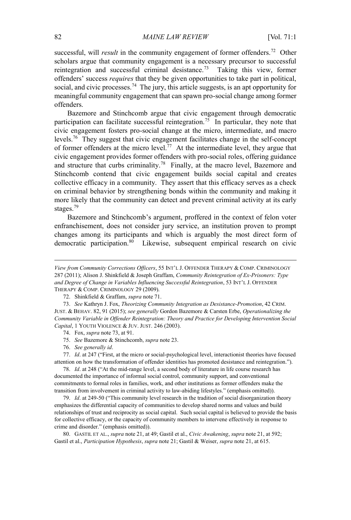successful, will *result* in the community engagement of former offenders.<sup>72</sup> Other scholars argue that community engagement is a necessary precursor to successful reintegration and successful criminal desistance.<sup>73</sup> Taking this view, former offenders' success *requires* that they be given opportunities to take part in political, social, and civic processes.<sup>74</sup> The jury, this article suggests, is an apt opportunity for meaningful community engagement that can spawn pro-social change among former offenders.

Bazemore and Stinchcomb argue that civic engagement through democratic participation can facilitate successful reintegration.<sup>75</sup> In particular, they note that civic engagement fosters pro-social change at the micro, intermediate, and macro levels.76 They suggest that civic engagement facilitates change in the self-concept of former offenders at the micro level.<sup>77</sup> At the intermediate level, they argue that civic engagement provides former offenders with pro-social roles, offering guidance and structure that curbs criminality.<sup>78</sup> Finally, at the macro level, Bazemore and Stinchcomb contend that civic engagement builds social capital and creates collective efficacy in a community. They assert that this efficacy serves as a check on criminal behavior by strengthening bonds within the community and making it more likely that the community can detect and prevent criminal activity at its early stages.<sup>79</sup>

Bazemore and Stinchcomb's argument, proffered in the context of felon voter enfranchisement, does not consider jury service, an institution proven to prompt changes among its participants and which is arguably the most direct form of democratic participation.<sup>80</sup> Likewise, subsequent empirical research on civic

74. Fox, *supra* note 73, at 91.

76. *See generally id*.

77. *Id*. at 247 ("First, at the micro or social-psychological level, interactionist theories have focused attention on how the transformation of offender identities has promoted desistance and reintegration.").

78. *Id*. at 248 ("At the mid-range level, a second body of literature in life course research has documented the importance of informal social control, community support, and conventional commitments to formal roles in families, work, and other institutions as former offenders make the transition from involvement in criminal activity to law-abiding lifestyles." (emphasis omitted)).

79. *Id*. at 249-50 ("This community level research in the tradition of social disorganization theory emphasizes the differential capacity of communities to develop shared norms and values and build relationships of trust and reciprocity as social capital. Such social capital is believed to provide the basis for collective efficacy, or the capacity of community members to intervene effectively in response to crime and disorder." (emphasis omitted)).

80. GASTIL ET AL., *supra* note 21, at 49; Gastil et al., *Civic Awakening*, *supra* note 21, at 592; Gastil et al., *Participation Hypothesis*, *supra* note 21; Gastil & Weiser, *supra* note 21, at 615.

*View from Community Corrections Officers*, 55 INT'L J. OFFENDER THERAPY & COMP. CRIMINOLOGY 287 (2011); Alison J. Shinkfield & Joseph Graffam, *Community Reintegration of Ex-Prisoners: Type and Degree of Change in Variables Influencing Successful Reintegration*, 53 INT'L J. OFFENDER THERAPY & COMP. CRIMINOLOGY 29 (2009).

<sup>72.</sup> Shinkfield & Graffam, *supra* note 71.

<sup>73.</sup> *See* Kathryn J. Fox, *Theorizing Community Integration as Desistance-Promotion*, 42 CRIM. JUST.&BEHAV. 82, 91 (2015); *see generally* Gordon Bazemore & Carsten Erbe, *Operationalizing the Community Variable in Offender Reintegration: Theory and Practice for Developing Intervention Social Capital*, 1 YOUTH VIOLENCE & JUV. JUST. 246 (2003).

<sup>75.</sup> *See* Bazemore & Stinchcomb, *supra* note 23.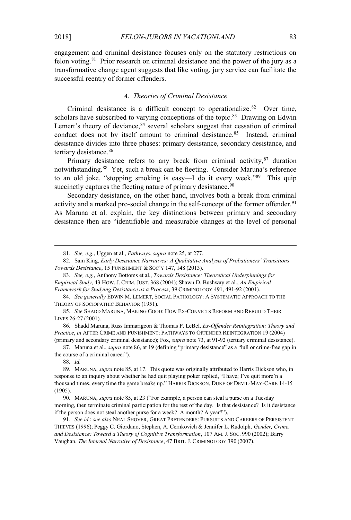engagement and criminal desistance focuses only on the statutory restrictions on felon voting.81 Prior research on criminal desistance and the power of the jury as a transformative change agent suggests that like voting, jury service can facilitate the successful reentry of former offenders.

#### *A. Theories of Criminal Desistance*

Criminal desistance is a difficult concept to operationalize.<sup>82</sup> Over time, scholars have subscribed to varying conceptions of the topic.<sup>83</sup> Drawing on Edwin Lemert's theory of deviance, $84$  several scholars suggest that cessation of criminal conduct does not by itself amount to criminal desistance.<sup>85</sup> Instead, criminal desistance divides into three phases: primary desistance, secondary desistance, and tertiary desistance.<sup>86</sup>

Primary desistance refers to any break from criminal activity, $87$  duration notwithstanding.88 Yet, such a break can be fleeting. Consider Maruna's reference to an old joke, "stopping smoking is easy—I do it every week."<sup>89</sup> This quip succinctly captures the fleeting nature of primary desistance.<sup>90</sup>

Secondary desistance, on the other hand, involves both a break from criminal activity and a marked pro-social change in the self-concept of the former offender.<sup>91</sup> As Maruna et al. explain, the key distinctions between primary and secondary desistance then are "identifiable and measurable changes at the level of personal

83. *See, e.g.*, Anthony Bottoms et al., *Towards Desistance: Theoretical Underpinnings for Empirical Study*, 43 HOW. J. CRIM. JUST. 368 (2004); Shawn D. Bushway et al., *An Empirical Framework for Studying Desistance as a Process*, 39 CRIMINOLOGY 491, 491-92 (2001).

86. Shadd Maruna, Russ Immarigeon & Thomas P. LeBel, *Ex-Offender Reintegration: Theory and Practice*, *in* AFTER CRIME AND PUNISHMENT: PATHWAYS TO OFFENDER REINTEGRATION 19 (2004) (primary and secondary criminal desistance); Fox, *supra* note 73, at 91-92 (tertiary criminal desistance).

87. Maruna et al., *supra* note 86, at 19 (defining "primary desistance" as a "lull or crime-free gap in the course of a criminal career").

88. *Id.*

1

89. MARUNA, *supra* note 85, at 17. This quote was originally attributed to Harris Dickson who, in response to an inquiry about whether he had quit playing poker replied, "I have; I've quit more'n a thousand times, every time the game breaks up." HARRIS DICKSON, DUKE OF DEVIL-MAY-CARE 14-15 (1905).

90. MARUNA, *supra* note 85, at 23 ("For example, a person can steal a purse on a Tuesday morning, then terminate criminal participation for the rest of the day. Is that desistance? Is it desistance if the person does not steal another purse for a week? A month? A year?").

91. *See id.*; *see also* NEAL SHOVER, GREAT PRETENDERS: PURSUITS AND CAREERS OF PERSISTENT THIEVES (1996); Peggy C. Giordano, Stephen, A. Cernkovich & Jennifer L. Rudolph, *Gender, Crime, and Desistance: Toward a Theory of Cognitive Transformation*, 107 AM. J. SOC. 990 (2002); Barry Vaughan, *The Internal Narrative of Desistance*, 47 BRIT. J. CRIMINOLOGY 390 (2007).

<sup>81.</sup> *See, e.g.*, Uggen et al., *Pathways*, *supra* note 25, at 277.

<sup>82</sup>*.* Sam King, *Early Desistance Narratives: A Qualitative Analysis of Probationers' Transitions Towards Desistance*, 15 PUNISHMENT & SOC'Y 147, 148 (2013).

<sup>84.</sup> *See generally* EDWIN M. LEMERT, SOCIAL PATHOLOGY:ASYSTEMATIC APPROACH TO THE THEORY OF SOCIOPATHIC BEHAVIOR (1951).

<sup>85.</sup> *See* SHADD MARUNA, MAKING GOOD: HOW EX-CONVICTS REFORM AND REBUILD THEIR LIVES 26-27 (2001).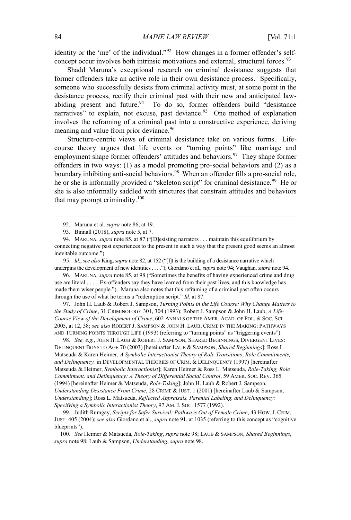identity or the 'me' of the individual."<sup>92</sup> How changes in a former offender's selfconcept occur involves both intrinsic motivations and external, structural forces.<sup>93</sup>

Shadd Maruna's exceptional research on criminal desistance suggests that former offenders take an active role in their own desistance process. Specifically, someone who successfully desists from criminal activity must, at some point in the desistance process, rectify their criminal past with their new and anticipated lawabiding present and future.<sup>94</sup> To do so, former offenders build "desistance narratives" to explain, not excuse, past deviance.<sup>95</sup> One method of explanation involves the reframing of a criminal past into a constructive experience, deriving meaning and value from prior deviance.<sup>96</sup>

Structure-centric views of criminal desistance take on various forms. Lifecourse theory argues that life events or "turning points" like marriage and employment shape former offenders' attitudes and behaviors.<sup>97</sup> They shape former offenders in two ways: (1) as a model promoting pro-social behaviors and (2) as a boundary inhibiting anti-social behaviors.<sup>98</sup> When an offender fills a pro-social role, he or she is informally provided a "skeleton script" for criminal desistance.<sup>99</sup> He or she is also informally saddled with strictures that constrain attitudes and behaviors that may prompt criminality.100

95. *Id*.; *see also* King, *supra* note 82, at 152 ("[I]t is the building of a desistance narrative which underpins the development of new identities . . . ."); Giordano et al., *supra* note 94; Vaughan, *supra* note 94.

96. MARUNA, *supra* note 85, at 98 ("Sometimes the benefits of having experienced crime and drug use are literal . . . . Ex-offenders say they have learned from their past lives, and this knowledge has made them wiser people."). Maruna also notes that this reframing of a criminal past often occurs through the use of what he terms a "redemption script." *Id*. at 87.

97. John H. Laub & Robert J. Sampson, *Turning Points in the Life Course: Why Change Matters to the Study of Crime*, 31 CRIMINOLOGY 301, 304 (1993); Robert J. Sampson & John H. Laub, *A Life-Course View of the Development of Crime*, 602 ANNALS OF THE AMER. ACAD. OF POL.&SOC. SCI. 2005, at 12, 38; *see also* ROBERT J. SAMPSON & JOHN H. LAUB, CRIME IN THE MAKING: PATHWAYS AND TURNING POINTS THROUGH LIFE (1993) (referring to "turning points" as "triggering events").

98. *See, e.g.*, JOHN H. LAUB & ROBERT J. SAMPSON, SHARED BEGINNINGS, DIVERGENT LIVES: DELINQUENT BOYS TO AGE 70 (2003) [hereinafter LAUB & SAMPSON, *Shared Beginnings*]; Ross L. Matseuda & Karen Heimer, *A Symbolic Interactionist Theory of Role Transitions*, *Role Commitments, and Delinquency,* in DEVELOPMENTAL THEORIES OF CRIM. & DELINQUENCY (1997) [hereinafter Matseuda & Heimer, *Symbolic Interactionist*]; Karen Heimer & Ross L. Matseuda, *Role-Taking, Role Commitment, and Delinquency: A Theory of Differential Social Control*, 59 AMER. SOC. REV. 365 (1994) [hereinafter Heimer & Matseuda, *Role-Taking*]; John H. Laub & Robert J. Sampson, *Understanding Desistance From Crime*, 28 CRIME & JUST. 1 (2001) [hereinafter Laub & Sampson, *Understanding*]; Ross L. Matsueda, *Reflected Appraisals, Parental Labeling, and Delinquency: Specifying a Symbolic Interactionist Theory*, 97 AM. J. SOC. 1577 (1992).

99. Judith Rumgay, *Scripts for Safer Survival: Pathways Out of Female Crime*, 43 HOW. J. CRIM. JUST. 405 (2004); *see also* Giordano et al., *supra* note 91, at 1035 (referring to this concept as "cognitive blueprints").

100. *See* Heimer & Matsueda, *Role-Taking*, *supra* note 98; LAUB & SAMPSON, *Shared Beginnings*, *supra* note 98; Laub & Sampson, *Understanding*, *supra* note 98.

<sup>92.</sup> Maruna et al. *supra* note 86, at 19.

<sup>93.</sup> Binnall (2018), *supra* note 5, at 7.

<sup>94.</sup> MARUNA, *supra* note 85, at 87 ("[D]esisting narrators . . . maintain this equilibrium by connecting negative past experiences to the present in such a way that the present good seems an almost inevitable outcome.").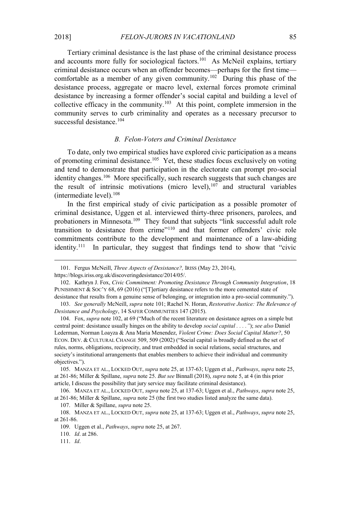Tertiary criminal desistance is the last phase of the criminal desistance process and accounts more fully for sociological factors.<sup>101</sup> As McNeil explains, tertiary criminal desistance occurs when an offender becomes—perhaps for the first time comfortable as a member of any given community.102 During this phase of the desistance process, aggregate or macro level, external forces promote criminal desistance by increasing a former offender's social capital and building a level of collective efficacy in the community.<sup>103</sup> At this point, complete immersion in the community serves to curb criminality and operates as a necessary precursor to successful desistance.<sup>104</sup>

#### *B. Felon-Voters and Criminal Desistance*

To date, only two empirical studies have explored civic participation as a means of promoting criminal desistance.105 Yet, these studies focus exclusively on voting and tend to demonstrate that participation in the electorate can prompt pro-social identity changes.106 More specifically, such research suggests that such changes are the result of intrinsic motivations (micro level), $107$  and structural variables (intermediate level).108

In the first empirical study of civic participation as a possible promoter of criminal desistance, Uggen et al. interviewed thirty-three prisoners, parolees, and probationers in Minnesota.<sup>109</sup> They found that subjects "link successful adult role transition to desistance from crime"<sup>110</sup> and that former offenders' civic role commitments contribute to the development and maintenance of a law-abiding identity.<sup>111</sup> In particular, they suggest that findings tend to show that "civic

104. Fox, *supra* note 102, at 69 ("Much of the recent literature on desistance agrees on a simple but central point: desistance usually hinges on the ability to develop *social capital . . . ."*); *see also* Daniel Lederman, Norman Loayza & Ana Maria Menendez, *Violent Crime: Does Social Capital Matter?*, 50 ECON. DEV.&CULTURAL CHANGE 509, 509 (2002) ("Social capital is broadly defined as the set of rules, norms, obligations, reciprocity, and trust embedded in social relations, social structures, and society's institutional arrangements that enables members to achieve their individual and community objectives.").

105. MANZA ET AL., LOCKED OUT, *supra* note 25, at 137-63; Uggen et al., *Pathways*, *supra* note 25, at 261-86; Miller & Spillane, *supra* note 25. *But see* Binnall (2018), *supra* note 5, at 4 (in this prior article, I discuss the possibility that jury service may facilitate criminal desistance).

106. MANZA ET AL., LOCKED OUT, *supra* note 25, at 137-63; Uggen et al., *Pathways*, *supra* note 25, at 261-86; Miller & Spillane, *supra* note 25 (the first two studies listed analyze the same data).

108. MANZA ET AL., LOCKED OUT, *supra* note 25, at 137-63; Uggen et al., *Pathways*, *supra* note 25, at 261-86.

<sup>101.</sup> Fergus McNeill, *Three Aspects of Desistance?,* IRISS (May 23, 2014),

https://blogs.iriss.org.uk/discoveringdesistance/2014/05/.

<sup>102.</sup> Kathryn J. Fox, *Civic Commitment: Promoting Desistance Through Community Integration*, 18 PUNISHMENT & SOC'Y 68, 69 (2016) ("[T]ertiary desistance refers to the more cemented state of desistance that results from a genuine sense of belonging, or integration into a pro-social community.").

<sup>103.</sup> *See generally* McNeill, *supra* note 101; Rachel N. Horan, *Restorative Justice: The Relevance of Desistance and Psychology*, 14 SAFER COMMUNITIES 147 (2015).

<sup>107.</sup> Miller & Spillane, *supra* note 25.

<sup>109.</sup> Uggen et al., *Pathways*, *supra* note 25, at 267.

<sup>110.</sup> *Id*. at 286.

<sup>111.</sup> *Id*.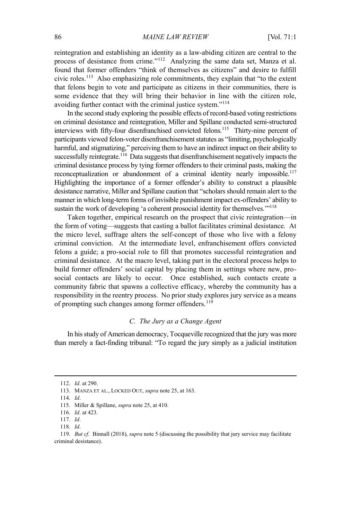reintegration and establishing an identity as a law-abiding citizen are central to the process of desistance from crime."<sup>112</sup> Analyzing the same data set, Manza et al. found that former offenders "think of themselves as citizens" and desire to fulfill civic roles.113 Also emphasizing role commitments, they explain that "to the extent that felons begin to vote and participate as citizens in their communities, there is some evidence that they will bring their behavior in line with the citizen role, avoiding further contact with the criminal justice system."<sup>114</sup>

In the second study exploring the possible effects of record-based voting restrictions on criminal desistance and reintegration, Miller and Spillane conducted semi-structured interviews with fifty-four disenfranchised convicted felons.<sup>115</sup> Thirty-nine percent of participants viewed felon-voter disenfranchisement statutes as "limiting, psychologically harmful, and stigmatizing," perceiving them to have an indirect impact on their ability to successfully reintegrate.<sup>116</sup> Data suggests that disenfranchisement negatively impacts the criminal desistance process by tying former offenders to their criminal pasts, making the reconceptualization or abandonment of a criminal identity nearly impossible.<sup>117</sup> Highlighting the importance of a former offender's ability to construct a plausible desistance narrative, Miller and Spillane caution that "scholars should remain alert to the manner in which long-term forms of invisible punishment impact ex-offenders' ability to sustain the work of developing 'a coherent prosocial identity for themselves."<sup>118</sup>

Taken together, empirical research on the prospect that civic reintegration—in the form of voting—suggests that casting a ballot facilitates criminal desistance. At the micro level, suffrage alters the self-concept of those who live with a felony criminal conviction. At the intermediate level, enfranchisement offers convicted felons a guide; a pro-social role to fill that promotes successful reintegration and criminal desistance. At the macro level, taking part in the electoral process helps to build former offenders' social capital by placing them in settings where new, prosocial contacts are likely to occur. Once established, such contacts create a community fabric that spawns a collective efficacy, whereby the community has a responsibility in the reentry process. No prior study explores jury service as a means of prompting such changes among former offenders.<sup>119</sup>

#### *C. The Jury as a Change Agent*

In his study of American democracy, Tocqueville recognized that the jury was more than merely a fact-finding tribunal: "To regard the jury simply as a judicial institution

<sup>112.</sup> *Id*. at 290.

<sup>113.</sup> MANZA ET AL., LOCKED OUT, *supra* note 25, at 163.

<sup>114.</sup> *Id*.

<sup>115.</sup> Miller & Spillane, *supra* note 25, at 410.

<sup>116.</sup> *Id*. at 423.

<sup>117.</sup> *Id*.

<sup>118.</sup> *Id*.

<sup>119.</sup> *But cf.* Binnall (2018), *supra* note 5 (discussing the possibility that jury service may facilitate criminal desistance).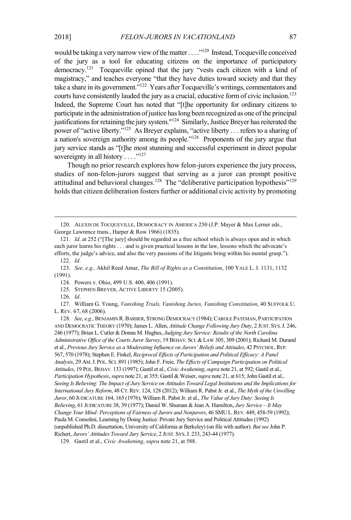would be taking a very narrow view of the matter . . . ."<sup>120</sup> Instead, Tocqueville conceived of the jury as a tool for educating citizens on the importance of participatory democracy.121 Tocqueville opined that the jury "vests each citizen with a kind of magistracy," and teaches everyone "that they have duties toward society and that they take a share in its government."<sup>122</sup> Years after Tocqueville's writings, commentators and courts have consistently lauded the jury as a crucial, educative form of civic inclusion.<sup>123</sup> Indeed, the Supreme Court has noted that "[t]he opportunity for ordinary citizens to participate in the administration of justice has long been recognized as one of the principal justifications for retaining the jury system."124 Similarly, Justice Breyer has reiterated the power of "active liberty."<sup>125</sup> As Breyer explains, "active liberty . . . refers to a sharing of a nation's sovereign authority among its people."<sup>126</sup> Proponents of the jury argue that jury service stands as "[t]he most stunning and successful experiment in direct popular sovereignty in all history  $\dots$ ."<sup>127</sup>

Though no prior research explores how felon-jurors experience the jury process, studies of non-felon-jurors suggest that serving as a juror can prompt positive attitudinal and behavioral changes.<sup>128</sup> The "deliberative participation hypothesis"<sup>129</sup> holds that citizen deliberation fosters further or additional civic activity by promoting

125. STEPHEN BREYER, ACTIVE LIBERTY 15 (2005).

126. *Id*.

 $\overline{a}$ 

127. William G. Young, *Vanishing Trials, Vanishing Juries, Vanishing Constitution*, 40 SUFFOLK U. L. REV. 67, 68 (2006).

128. *See, e.g.*, BENJAMIN R. BARBER, STRONG DEMOCRACY (1984); CAROLE PATEMAN, PARTICIPATION AND DEMOCRATIC THEORY (1970); James L. Allen, *Attitude Change Following Jury Duty*, 2 JUST. SYS. J. 246, 246 (1977); Brian L. Cutler & Donna M. Hughes, *Judging Jury Service: Results of the North Carolina Administrative Office of the Courts Juror Survey*, 19 BEHAV. SCI.&LAW 305, 309 (2001); Richard M. Durand et al., *Previous Jury Service as a Moderating Influence on Jurors' Beliefs and Attitudes*, 42 PSYCHOL. REP. 567, 570 (1978); Stephen E. Finkel, *Reciprocal Effects of Participation and Political Efficacy: A Panel Analysis*, 29 AM. J. POL. SCI. 891 (1985); John F. Freie, *The Effects of Campaign Participation on Political Attitudes*, 19 POL. BEHAV*.* 133 (1997); Gastil et al., *Civic Awakening*, *supra* note 21, at 592; Gastil et al., *Participation Hypothesis*, *supra* note 21, at 355; Gastil & Weiser, *supra* note 21, at 615; John Gastil et al., *Seeing Is Believing: The Impact of Jury Service on Attitudes Toward Legal Institutions and the Implications for International Jury Reform*, 48 CT. REV. 124, 128 (2012); William R. Pabst Jr. et al., *The Myth of the Unwilling Juror*, 60 JUDICATURE 164, 165 (1976); William R. Pabst Jr. et al., *The Value of Jury Duty: Seeing Is Believing*, 61 JUDICATURE 38, 39 (1977); Daniel W. Shuman & Jean A. Hamilton, *Jury Service – It May Change Your Mind: Perceptions of Fairness of Jurors and Nonjurors*, 46 SMU L. REV. 449, 458-59 (1992); Paula M. Consolini, Learning by Doing Justice: Private Jury Service and Political Attitudes (1992) (unpublished Ph.D. dissertation, University of California at Berkeley) (on file with author). *But see* John P. Richert, *Jurors' Attitudes Toward Jury Service*, 2 JUST. SYS. J*.* 233, 243-44 (1977).

129. Gastil et al., *Civic Awakening*, *supra* note 21, at 588.

<sup>120.</sup> ALEXIS DE TOCQUEVILLE, DEMOCRACY IN AMERICA 250 (J.P. Mayer & Max Lerner eds., George Lawrence trans., Harper & Row 1966) (1835).

<sup>121.</sup> *Id*. at 252 ("[The jury] should be regarded as a free school which is always open and in which each juror learns his rights . . . and is given practical lessons in the law, lessons which the advocate's efforts, the judge's advice, and also the very passions of the litigants bring within his mental grasp."). 122. *Id.*

<sup>123.</sup> *See, e.g.,* Akhil Reed Amar, *The Bill of Rights as a Constitution*, 100 YALE L. J. 1131, 1132 (1991).

<sup>124.</sup> Powers v. Ohio, 499 U.S. 400, 406 (1991).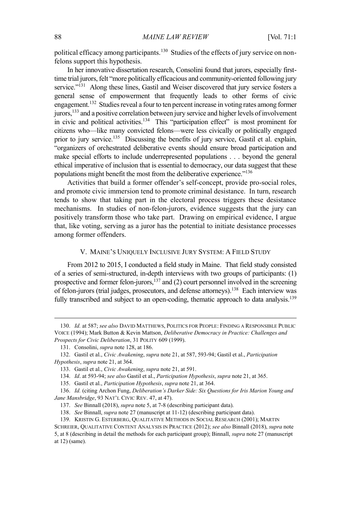political efficacy among participants.<sup>130</sup> Studies of the effects of jury service on nonfelons support this hypothesis.

In her innovative dissertation research, Consolini found that jurors, especially firsttime trial jurors, felt "more politically efficacious and community-oriented following jury service."<sup>131</sup> Along these lines, Gastil and Weiser discovered that jury service fosters a general sense of empowerment that frequently leads to other forms of civic engagement.<sup>132</sup> Studies reveal a four to ten percent increase in voting rates among former jurors,133 and a positive correlation between jury service and higher levels of involvement in civic and political activities.<sup>134</sup> This "participation effect" is most prominent for citizens who—like many convicted felons—were less civically or politically engaged prior to jury service.135 Discussing the benefits of jury service, Gastil et al. explain, "organizers of orchestrated deliberative events should ensure broad participation and make special efforts to include underrepresented populations . . . beyond the general ethical imperative of inclusion that is essential to democracy, our data suggest that these populations might benefit the most from the deliberative experience."<sup>136</sup>

Activities that build a former offender's self-concept, provide pro-social roles, and promote civic immersion tend to promote criminal desistance. In turn, research tends to show that taking part in the electoral process triggers these desistance mechanisms. In studies of non-felon-jurors, evidence suggests that the jury can positively transform those who take part. Drawing on empirical evidence, I argue that, like voting, serving as a juror has the potential to initiate desistance processes among former offenders.

#### V. MAINE'S UNIQUELY INCLUSIVE JURY SYSTEM: A FIELD STUDY

From 2012 to 2015, I conducted a field study in Maine. That field study consisted of a series of semi-structured, in-depth interviews with two groups of participants: (1) prospective and former felon-jurors,<sup>137</sup> and (2) court personnel involved in the screening of felon-jurors (trial judges, prosecutors, and defense attorneys).138 Each interview was fully transcribed and subject to an open-coding, thematic approach to data analysis.<sup>139</sup>

1

139. KRISTIN G. ESTERBERG, QUALITATIVE METHODS IN SOCIAL RESEARCH (2001); MARTIN

<sup>130.</sup> *Id.* at 587; *see also* DAVID MATTHEWS, POLITICS FOR PEOPLE: FINDING A RESPONSIBLE PUBLIC VOICE (1994); Mark Button & Kevin Mattson, *Deliberative Democracy in Practice: Challenges and Prospects for Civic Deliberation*, 31 POLITY 609 (1999).

<sup>131.</sup> Consolini, *supra* note 128, at 186.

<sup>132.</sup> Gastil et al., *Civic Awakening*, *supra* note 21, at 587, 593-94; Gastil et al., *Participation Hypothesis*, *supra* note 21, at 364.

<sup>133.</sup> Gastil et al., *Civic Awakening*, *supra* note 21, at 591.

<sup>134.</sup> *Id*. at 593-94; *see also* Gastil et al., *Participation Hypothesis*, *supra* note 21, at 365.

<sup>135.</sup> Gastil et al., *Participation Hypothesis*, *supra* note 21, at 364.

<sup>136.</sup> *Id.* (citing Archon Fung, *Deliberation's Darker Side: Six Questions for Iris Marion Young and Jane Mansbridge*, 93 NAT'L CIVIC REV. 47, at 47).

<sup>137.</sup> *See* Binnall (2018), *supra* note 5, at 7-8 (describing participant data).

<sup>138.</sup> *See* Binnall, *supra* note 27 (manuscript at 11-12) (describing participant data).

SCHREIER, QUALITATIVE CONTENT ANALYSIS IN PRACTICE (2012); *see also* Binnall (2018), *supra* note 5, at 8 (describing in detail the methods for each participant group); Binnall, *supra* note 27 (manuscript at 12) (same).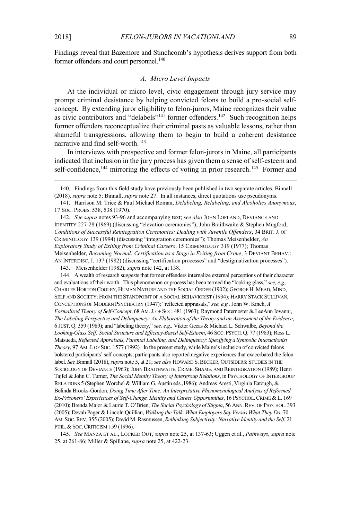1

Findings reveal that Bazemore and Stinchcomb's hypothesis derives support from both former offenders and court personnel.<sup>140</sup>

#### *A. Micro Level Impacts*

At the individual or micro level, civic engagement through jury service may prompt criminal desistance by helping convicted felons to build a pro-social selfconcept. By extending juror eligibility to felon-jurors, Maine recognizes their value as civic contributors and "delabels"<sup>141</sup> former offenders.<sup>142</sup> Such recognition helps former offenders reconceptualize their criminal pasts as valuable lessons, rather than shameful transgressions, allowing them to begin to build a coherent desistance narrative and find self-worth.<sup>143</sup>

In interviews with prospective and former felon-jurors in Maine, all participants indicated that inclusion in the jury process has given them a sense of self-esteem and self-confidence,<sup>144</sup> mirroring the effects of voting in prior research.<sup>145</sup> Former and

144. A wealth of research suggests that former offenders internalize external perceptions of their character and evaluations of their worth. This phenomenon or process has been termed the "looking glass," *see, e.g.,* CHARLES HORTON COOLEY, HUMAN NATURE AND THE SOCIAL ORDER (1902); GEORGE H. MEAD, MIND, SELF AND SOCIETY: FROM THE STANDPOINT OF A SOCIAL BEHAVIORIST (1934); HARRY STACK SULLIVAN, CONCEPTIONS OF MODERN PSYCHIATRY (1947); "reflected appraisals," *see, e.g.,* John W. Kinch, *A Formalized Theory of Self-Concept*, 68 AM. J. OF SOC. 481 (1963); Raymond Paternoster & LeeAnn Iovanni, *The Labeling Perspective and Delinquency: An Elaboration of the Theory and an Assessment of the Evidence*, 6 JUST. Q. 359 (1989); and "labeling theory," *see, e.g.,* Viktor Gecas & Michael L. Schwalbe, *Beyond the Looking-Glass Self: Social Structure and Efficacy-Based Self-Esteem*, 46 SOC. PSYCH. Q. 77 (1983); Ross L. Matsueda, *Reflected Appraisals, Parental Labeling, and Delinquency: Specifying a Symbolic Interactionist Theory*, 97 AM. J. OF SOC. 1577 (1992). In the present study, while Maine's inclusion of convicted felons bolstered participants' self-concepts, participants also reported negative experiences that exacerbated the felon label. *See* Binnall (2018), *supra* note 5, at 21; *see also* HOWARD S. BECKER, OUTSIDERS: STUDIES IN THE SOCIOLOGY OF DEVIANCE (1963); JOHN BRAITHWAITE, CRIME, SHAME, AND REINTEGRATION (1989); Henri Tajfel & John C. Turner, *The Social Identity Theory of Intergroup Relations*, in PSYCHOLOGY OF INTERGROUP RELATIONS 5 (Stephen Worchel & William G. Austin eds.,1986); Andreas Aresti, Virginia Eatough, & Belinda Brooks-Gordon, *Doing Time After Time: An Interpretative Phenomenological Analysis of Reformed Ex-Prisoners' Experiences of Self-Change, Identity and Career Opportunities*, 16 PSYCHOL. CRIME & L. 169 (2010); Brenda Major & Laurie T. O'Brien, *The Social Psychology of Stigma*, 56 ANN. REV. OF PSYCHOL. 393 (2005); Devah Pager & Lincoln Quillian, *Walking the Talk: What Employers Say Versus What They Do*, 70 AM. SOC. REV. 355 (2005); David M. Rasmussen, *Rethinking Subjectivity: Narrative Identity and the Self*, 21 PHIL. & SOC. CRITICISM 159 (1996).

145. *See* MANZA ET AL., LOCKED OUT, *supra* note 25, at 137-63; Uggen et al., *Pathways*, *supra* note 25, at 261-86; Miller & Spillane, *supra* note 25, at 422-23.

<sup>140.</sup> Findings from this field study have previously been published in two separate articles. Binnall (2018), *supra* note 5; Binnall, *supra* note 27. In all instances, direct quotations use pseudonyms.

<sup>141.</sup> Harrison M. Trice & Paul Michael Roman, *Delabeling, Relabeling, and Alcoholics Anonymous*, 17 SOC. PROBS. 538, 538 (1970).

<sup>142.</sup> *See supra* notes 93-96 and accompanying text; *see also* JOHN LOFLAND, DEVIANCE AND IDENTITY 227-28 (1969) (discussing "elevation ceremonies"); John Braithwaite & Stephen Mugford, *Conditions of Successful Reintegration Ceremonies: Dealing with Juvenile Offenders*, 34 BRIT. J. OF CRIMINOLOGY 139 (1994) (discussing "integration ceremonies"); Thomas Meisenhelder, *An Exploratory Study of Exiting from Criminal Careers*, 15 CRIMINOLOGY 319 (1977); Thomas Meisenhelder, *Becoming Normal: Certification as a Stage in Exiting from Crime*, 3 DEVIANT BEHAV.: AN INTERDISC. J. 137 (1982) (discussing "certification processes" and "destigmatization processes").

<sup>143.</sup> Meisenhelder (1982), *supra* note 142, at 138.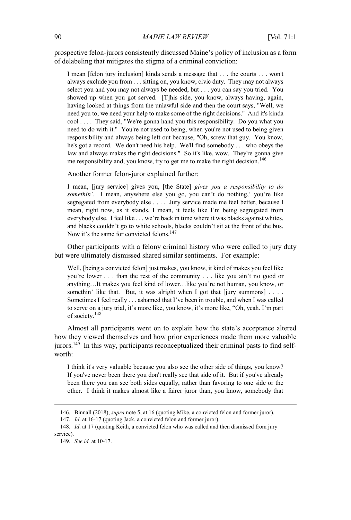prospective felon-jurors consistently discussed Maine's policy of inclusion as a form of delabeling that mitigates the stigma of a criminal conviction:

I mean [felon jury inclusion] kinda sends a message that . . . the courts . . . won't always exclude you from . . . sitting on, you know, civic duty. They may not always select you and you may not always be needed, but . . . you can say you tried. You showed up when you got served. [T]his side, you know, always having, again, having looked at things from the unlawful side and then the court says, "Well, we need you to, we need your help to make some of the right decisions." And it's kinda cool . . . . They said, "We're gonna hand you this responsibility. Do you what you need to do with it." You're not used to being, when you're not used to being given responsibility and always being left out because, "Oh, screw that guy. You know, he's got a record. We don't need his help. We'll find somebody . . . who obeys the law and always makes the right decisions." So it's like, wow. They're gonna give me responsibility and, you know, try to get me to make the right decision.<sup>146</sup>

Another former felon-juror explained further:

I mean, [jury service] gives you, [the State] *gives you a responsibility to do somethin'*. I mean, anywhere else you go, you can't do nothing,' you're like segregated from everybody else . . . . Jury service made me feel better, because I mean, right now, as it stands, I mean, it feels like I'm being segregated from everybody else. I feel like . . . we're back in time where it was blacks against whites, and blacks couldn't go to white schools, blacks couldn't sit at the front of the bus. Now it's the same for convicted felons.<sup>147</sup>

Other participants with a felony criminal history who were called to jury duty but were ultimately dismissed shared similar sentiments. For example:

Well, [being a convicted felon] just makes, you know, it kind of makes you feel like you're lower . . . than the rest of the community . . . like you ain't no good or anything…It makes you feel kind of lower…like you're not human, you know, or somethin' like that. But, it was alright when I got that [jury summons] . . . . Sometimes I feel really . . . ashamed that I've been in trouble, and when I was called to serve on a jury trial, it's more like, you know, it's more like, "Oh, yeah. I'm part of society.<sup>148</sup>

Almost all participants went on to explain how the state's acceptance altered how they viewed themselves and how prior experiences made them more valuable jurors.<sup>149</sup> In this way, participants reconceptualized their criminal pasts to find selfworth:

I think it's very valuable because you also see the other side of things, you know? If you've never been there you don't really see that side of it. But if you've already been there you can see both sides equally, rather than favoring to one side or the other. I think it makes almost like a fairer juror than, you know, somebody that

<sup>146.</sup> Binnall (2018), *supra* note 5, at 16 (quoting Mike, a convicted felon and former juror).

<sup>147.</sup> *Id*. at 16-17 (quoting Jack, a convicted felon and former juror).

<sup>148.</sup> *Id*. at 17 (quoting Keith, a convicted felon who was called and then dismissed from jury service).

<sup>149.</sup> *See id.* at 10-17.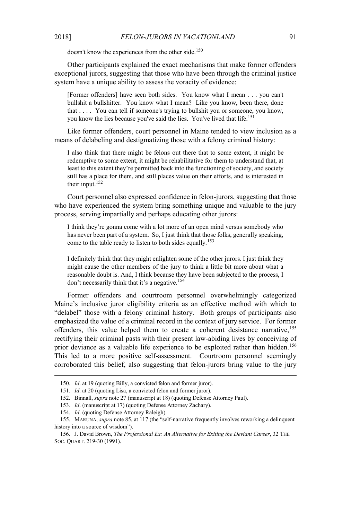doesn't know the experiences from the other side.<sup>150</sup>

Other participants explained the exact mechanisms that make former offenders exceptional jurors, suggesting that those who have been through the criminal justice system have a unique ability to assess the voracity of evidence:

[Former offenders] have seen both sides. You know what I mean . . . you can't bullshit a bullshitter. You know what I mean? Like you know, been there, done that . . . . You can tell if someone's trying to bullshit you or someone, you know, you know the lies because you've said the lies. You've lived that life.<sup>151</sup>

Like former offenders, court personnel in Maine tended to view inclusion as a means of delabeling and destigmatizing those with a felony criminal history:

I also think that there might be felons out there that to some extent, it might be redemptive to some extent, it might be rehabilitative for them to understand that, at least to this extent they're permitted back into the functioning of society, and society still has a place for them, and still places value on their efforts, and is interested in their input.152

Court personnel also expressed confidence in felon-jurors, suggesting that those who have experienced the system bring something unique and valuable to the jury process, serving impartially and perhaps educating other jurors:

I think they're gonna come with a lot more of an open mind versus somebody who has never been part of a system. So, I just think that those folks, generally speaking, come to the table ready to listen to both sides equally.<sup>153</sup>

I definitely think that they might enlighten some of the other jurors. I just think they might cause the other members of the jury to think a little bit more about what a reasonable doubt is. And, I think because they have been subjected to the process, I don't necessarily think that it's a negative.<sup>154</sup>

Former offenders and courtroom personnel overwhelmingly categorized Maine's inclusive juror eligibility criteria as an effective method with which to "delabel" those with a felony criminal history. Both groups of participants also emphasized the value of a criminal record in the context of jury service. For former offenders, this value helped them to create a coherent desistance narrative,<sup>155</sup> rectifying their criminal pasts with their present law-abiding lives by conceiving of prior deviance as a valuable life experience to be exploited rather than hidden.<sup>156</sup> This led to a more positive self-assessment. Courtroom personnel seemingly corroborated this belief, also suggesting that felon-jurors bring value to the jury

<sup>150.</sup> *Id*. at 19 (quoting Billy, a convicted felon and former juror).

<sup>151.</sup> *Id*. at 20 (quoting Lisa, a convicted felon and former juror).

<sup>152.</sup> Binnall, *supra* note 27 (manuscript at 18) (quoting Defense Attorney Paul).

<sup>153.</sup> *Id*. (manuscript at 17) (quoting Defense Attorney Zachary).

<sup>154.</sup> *Id*. (quoting Defense Attorney Raleigh).

<sup>155.</sup> MARUNA, *supra* note 85, at 117 (the "self-narrative frequently involves reworking a delinquent history into a source of wisdom").

<sup>156.</sup> J. David Brown, *The Professional Ex: An Alternative for Exiting the Deviant Career*, 32 THE SOC. QUART. 219-30 (1991).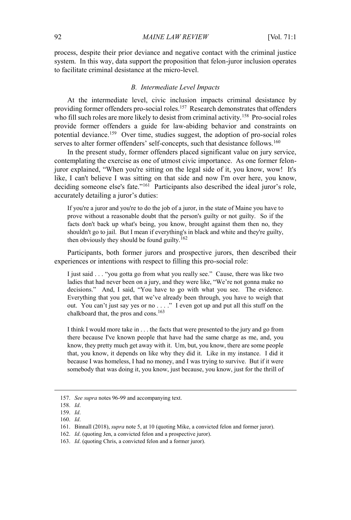process, despite their prior deviance and negative contact with the criminal justice system. In this way, data support the proposition that felon-juror inclusion operates to facilitate criminal desistance at the micro-level.

#### *B. Intermediate Level Impacts*

At the intermediate level, civic inclusion impacts criminal desistance by providing former offenders pro-social roles.<sup>157</sup> Research demonstrates that offenders who fill such roles are more likely to desist from criminal activity.<sup>158</sup> Pro-social roles provide former offenders a guide for law-abiding behavior and constraints on potential deviance.159 Over time, studies suggest, the adoption of pro-social roles serves to alter former offenders' self-concepts, such that desistance follows.<sup>160</sup>

In the present study, former offenders placed significant value on jury service, contemplating the exercise as one of utmost civic importance. As one former felonjuror explained, "When you're sitting on the legal side of it, you know, wow! It's like, I can't believe I was sitting on that side and now I'm over here, you know, deciding someone else's fate."<sup>161</sup> Participants also described the ideal juror's role, accurately detailing a juror's duties:

If you're a juror and you're to do the job of a juror, in the state of Maine you have to prove without a reasonable doubt that the person's guilty or not guilty. So if the facts don't back up what's being, you know, brought against them then no, they shouldn't go to jail. But I mean if everything's in black and white and they're guilty, then obviously they should be found guilty.<sup>162</sup>

Participants, both former jurors and prospective jurors, then described their experiences or intentions with respect to filling this pro-social role:

I just said . . . "you gotta go from what you really see." Cause, there was like two ladies that had never been on a jury, and they were like, "We're not gonna make no decisions." And, I said, "You have to go with what you see. The evidence. Everything that you get, that we've already been through, you have to weigh that out. You can't just say yes or no . . . ." I even got up and put all this stuff on the chalkboard that, the pros and cons.<sup>163</sup>

I think I would more take in . . . the facts that were presented to the jury and go from there because I've known people that have had the same charge as me, and, you know, they pretty much get away with it. Um, but, you know, there are some people that, you know, it depends on like why they did it. Like in my instance. I did it because I was homeless, I had no money, and I was trying to survive. But if it were somebody that was doing it, you know, just because, you know, just for the thrill of

<sup>157.</sup> *See supra* notes 96-99 and accompanying text.

<sup>158.</sup> *Id*.

<sup>159.</sup> *Id*.

<sup>160.</sup> *Id*.

<sup>161.</sup> Binnall (2018), *supra* note 5, at 10 (quoting Mike, a convicted felon and former juror).

<sup>162.</sup> *Id*. (quoting Jen, a convicted felon and a prospective juror).

<sup>163.</sup> *Id*. (quoting Chris, a convicted felon and a former juror).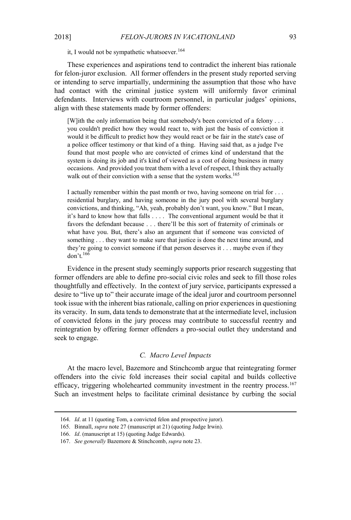it, I would not be sympathetic whatsoever.<sup>164</sup>

These experiences and aspirations tend to contradict the inherent bias rationale for felon-juror exclusion. All former offenders in the present study reported serving or intending to serve impartially, undermining the assumption that those who have had contact with the criminal justice system will uniformly favor criminal defendants. Interviews with courtroom personnel, in particular judges' opinions, align with these statements made by former offenders:

[W]ith the only information being that somebody's been convicted of a felony . . . you couldn't predict how they would react to, with just the basis of conviction it would it be difficult to predict how they would react or be fair in the state's case of a police officer testimony or that kind of a thing. Having said that, as a judge I've found that most people who are convicted of crimes kind of understand that the system is doing its job and it's kind of viewed as a cost of doing business in many occasions. And provided you treat them with a level of respect, I think they actually walk out of their conviction with a sense that the system works.<sup>165</sup>

I actually remember within the past month or two, having someone on trial for . . . residential burglary, and having someone in the jury pool with several burglary convictions, and thinking, "Ah, yeah, probably don't want, you know." But I mean, it's hard to know how that falls . . . . The conventional argument would be that it favors the defendant because . . . there'll be this sort of fraternity of criminals or what have you. But, there's also an argument that if someone was convicted of something . . . they want to make sure that justice is done the next time around, and they're going to convict someone if that person deserves it . . . maybe even if they don't.<sup>166</sup>

Evidence in the present study seemingly supports prior research suggesting that former offenders are able to define pro-social civic roles and seek to fill those roles thoughtfully and effectively. In the context of jury service, participants expressed a desire to "live up to" their accurate image of the ideal juror and courtroom personnel took issue with the inherent bias rationale, calling on prior experiences in questioning its veracity. In sum, data tends to demonstrate that at the intermediate level, inclusion of convicted felons in the jury process may contribute to successful reentry and reintegration by offering former offenders a pro-social outlet they understand and seek to engage.

#### *C. Macro Level Impacts*

At the macro level, Bazemore and Stinchcomb argue that reintegrating former offenders into the civic fold increases their social capital and builds collective efficacy, triggering wholehearted community investment in the reentry process.<sup>167</sup> Such an investment helps to facilitate criminal desistance by curbing the social

<sup>164.</sup> *Id*. at 11 (quoting Tom, a convicted felon and prospective juror).

<sup>165.</sup> Binnall, *supra* note 27 (manuscript at 21) (quoting Judge Irwin).

<sup>166.</sup> *Id*. (manuscript at 15) (quoting Judge Edwards).

<sup>167.</sup> *See generally* Bazemore & Stinchcomb, *supra* note 23.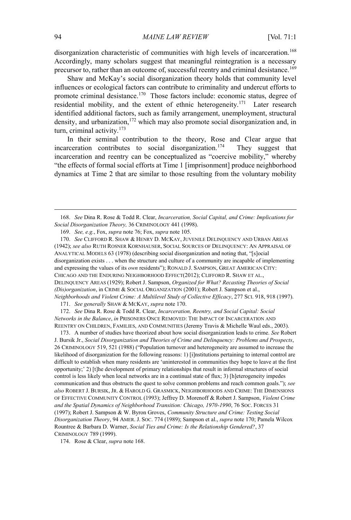disorganization characteristic of communities with high levels of incarceration.<sup>168</sup> Accordingly, many scholars suggest that meaningful reintegration is a necessary precursor to, rather than an outcome of, successful reentry and criminal desistance.<sup>169</sup>

Shaw and McKay's social disorganization theory holds that community level influences or ecological factors can contribute to criminality and undercut efforts to promote criminal desistance.<sup>170</sup> Those factors include: economic status, degree of residential mobility, and the extent of ethnic heterogeneity.<sup>171</sup> Later research identified additional factors, such as family arrangement, unemployment, structural density, and urbanization,  $172$  which may also promote social disorganization and, in turn, criminal activity.<sup>173</sup>

In their seminal contribution to the theory, Rose and Clear argue that incarceration contributes to social disorganization.<sup>174</sup> They suggest that incarceration and reentry can be conceptualized as "coercive mobility," whereby "the effects of formal social efforts at Time 1 [imprisonment] produce neighborhood dynamics at Time 2 that are similar to those resulting from the voluntary mobility

168. *See* Dina R. Rose & Todd R. Clear, *Incarceration, Social Capital, and Crime: Implications for Social Disorganization Theory,* 36 CRIMINOLOGY 441 (1998).

169. *See, e.g.*, Fox, *supra* note 76; Fox, *supra* note 105.

170. *See* CLIFFORD R. SHAW & HENRY D. MCKAY, JUVENILE DELINQUENCY AND URBAN AREAS (1942); *see also* RUTH ROSNER KORNHAUSER, SOCIAL SOURCES OF DELINQUENCY: AN APPRAISAL OF ANALYTICAL MODELS 63 (1978) (describing social disorganization and noting that, "[s]ocial disorganization exists . . . when the structure and culture of a community are incapable of implementing and expressing the values of its *own* residents"); RONALD J. SAMPSON, GREAT AMERICAN CITY: CHICAGO AND THE ENDURING NEIGHBORHOOD EFFECT(2012); CLIFFORD R. SHAW ET AL., DELINQUENCY AREAS (1929); Robert J. Sampson, *Organized for What? Recasting Theories of Social (Dis)organization*, in CRIME & SOCIAL ORGANIZATION (2001); Robert J. Sampson et al., *Neighborhoods and Violent Crime: A Multilevel Study of Collective Efficacy*, 277 SCI. 918, 918 (1997).

171. *See generally* SHAW & MCKAY, *supra* note 170.

172. *See* Dina R. Rose & Todd R. Clear, *Incarceration, Reentry, and Social Capital: Social Networks in the Balance*, *in* PRISONERS ONCE REMOVED: THE IMPACT OF INCARCERATION AND REENTRY ON CHILDREN, FAMILIES, AND COMMUNITIES (Jeremy Travis & Michelle Waul eds., 2003).

173. A number of studies have theorized about how social disorganization leads to crime. *See* Robert J. Bursik Jr., *Social Disorganization and Theories of Crime and Delinquency: Problems and Prospects*, 26 CRIMINOLOGY 519, 521 (1988) ("Population turnover and heterogeneity are assumed to increase the likelihood of disorganization for the following reasons: 1) [i]nstitutions pertaining to internal control are difficult to establish when many residents are 'uninterested in communities they hope to leave at the first opportunity;' 2) [t]he development of primary relationships that result in informal structures of social control is less likely when local networks are in a continual state of flux; 3) [h]eterogeneity impedes communication and thus obstructs the quest to solve common problems and reach common goals."); *see also* ROBERT J. BURSIK, JR.&HAROLD G. GRASMICK, NEIGHBORHOODS AND CRIME: THE DIMENSIONS OF EFFECTIVE COMMUNITY CONTROL (1993); Jeffrey D. Morenoff & Robert J. Sampson, *Violent Crime and the Spatial Dynamics of Neighborhood Transition: Chicago, 1970-1990*, 76 SOC. FORCES 31 (1997); Robert J. Sampson & W. Byron Groves, *Community Structure and Crime: Testing Social Disorganization Theory*, 94 AMER. J. SOC. 774 (1989); Sampson et al., *supra* note 170; Pamela Wilcox Rountree & Barbara D. Warner, *Social Ties and Crime: Is the Relationship Gendered?*, 37 CRIMINOLOGY 789 (1999).

174. Rose & Clear, *supra* note 168.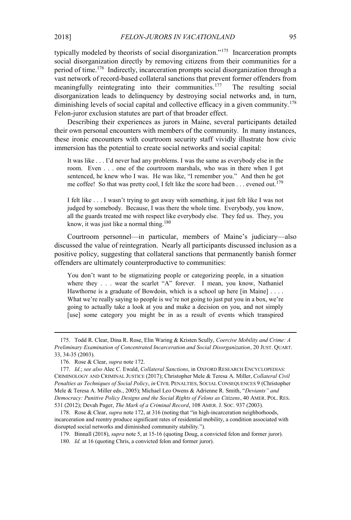typically modeled by theorists of social disorganization."<sup>175</sup> Incarceration prompts social disorganization directly by removing citizens from their communities for a period of time.176 Indirectly, incarceration prompts social disorganization through a vast network of record-based collateral sanctions that prevent former offenders from meaningfully reintegrating into their communities.<sup>177</sup> The resulting social disorganization leads to delinquency by destroying social networks and, in turn, diminishing levels of social capital and collective efficacy in a given community.<sup>178</sup> Felon-juror exclusion statutes are part of that broader effect.

Describing their experiences as jurors in Maine, several participants detailed their own personal encounters with members of the community. In many instances, these ironic encounters with courtroom security staff vividly illustrate how civic immersion has the potential to create social networks and social capital:

It was like . . . I'd never had any problems. I was the same as everybody else in the room. Even . . . one of the courtroom marshals, who was in there when I got sentenced, he knew who I was. He was like, "I remember you." And then he got me coffee! So that was pretty cool, I felt like the score had been . . . evened out.<sup>179</sup>

I felt like . . . I wasn't trying to get away with something, it just felt like I was not judged by somebody. Because, I was there the whole time. Everybody, you know, all the guards treated me with respect like everybody else. They fed us. They, you know, it was just like a normal thing.<sup>180</sup>

Courtroom personnel—in particular, members of Maine's judiciary—also discussed the value of reintegration. Nearly all participants discussed inclusion as a positive policy, suggesting that collateral sanctions that permanently banish former offenders are ultimately counterproductive to communities:

You don't want to be stigmatizing people or categorizing people, in a situation where they . . . wear the scarlet "A" forever. I mean, you know, Nathaniel Hawthorne is a graduate of Bowdoin, which is a school up here [in Maine] . . . . What we're really saying to people is we're not going to just put you in a box, we're going to actually take a look at you and make a decision on you, and not simply [use] some category you might be in as a result of events which transpired

<sup>175.</sup> Todd R. Clear, Dina R. Rose, Elin Waring & Kristen Scully, *Coercive Mobility and Crime: A Preliminary Examination of Concentrated Incarceration and Social Disorganization*, 20 JUST. QUART. 33, 34-35 (2003).

<sup>176.</sup> Rose & Clear, *supra* note 172.

<sup>177.</sup> *Id*.; *see also* Alec C. Ewald, *Collateral Sanctions*, in OXFORD RESEARCH ENCYCLOPEDIAS: CRIMINOLOGY AND CRIMINAL JUSTICE (2017); Christopher Mele & Teresa A. Miller, *Collateral Civil Penalties as Techniques of Social Policy*, *in* CIVIL PENALTIES, SOCIAL CONSEQUENCES 9 (Christopher Mele & Teresa A. Miller eds., 2005); Michael Leo Owens & Adrienne R. Smith, "*Deviants" and Democracy: Punitive Policy Designs and the Social Rights of Felons as Citizens*, 40 AMER. POL. RES. 531 (2012); Devah Pager, *The Mark of a Criminal Record*, 108 AMER. J. SOC. 937 (2003).

<sup>178.</sup> Rose & Clear, *supra* note 172, at 316 (noting that "in high-incarceration neighborhoods, incarceration and reentry produce significant rates of residential mobility, a condition associated with disrupted social networks and diminished community stability.").

<sup>179.</sup> Binnall (2018), *supra* note 5, at 15-16 (quoting Doug, a convicted felon and former juror).

<sup>180.</sup> *Id.* at 16 (quoting Chris, a convicted felon and former juror).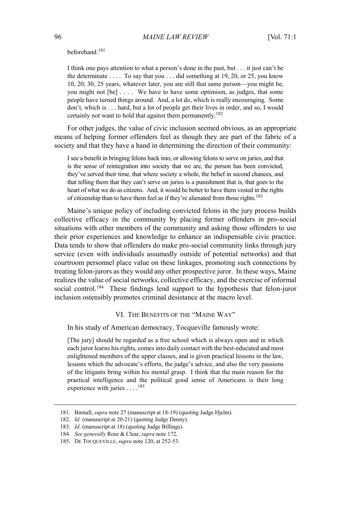beforehand.181

I think one pays attention to what a person's done in the past, but . . . it just can't be the determinate . . . . To say that you . . . did something at 19, 20, or 25, you know 10, 20, 30, 25 years, whatever later, you are still that same person—you might be, you might not [be] . . . . We have to have some optimism, as judges, that some people have turned things around. And, a lot do, which is really encouraging. Some don't, which is . . . hard, but a lot of people get their lives in order, and so, I would certainly not want to hold that against them permanently.<sup>182</sup>

For other judges, the value of civic inclusion seemed obvious, as an appropriate means of helping former offenders feel as though they are part of the fabric of a society and that they have a hand in determining the direction of their community:

I see a benefit in bringing felons back into, or allowing felons to serve on juries, and that is the sense of reintegration into society that we are, the person has been convicted, they've served their time, that where society a whole, the belief in second chances, and that telling them that they can't serve on juries is a punishment that is, that goes to the heart of what we do as citizens. And, it would be better to have them vested in the rights of citizenship than to have them feel as if they're alienated from those rights.<sup>183</sup>

Maine's unique policy of including convicted felons in the jury process builds collective efficacy in the community by placing former offenders in pro-social situations with other members of the community and asking those offenders to use their prior experiences and knowledge to enhance an indispensable civic practice. Data tends to show that offenders do make pro-social community links through jury service (even with individuals assumedly outside of potential networks) and that courtroom personnel place value on these linkages, promoting such connections by treating felon-jurors as they would any other prospective juror. In these ways, Maine realizes the value of social networks, collective efficacy, and the exercise of informal social control.<sup>184</sup> These findings lend support to the hypothesis that felon-juror inclusion ostensibly promotes criminal desistance at the macro level.

#### VI. THE BENEFITS OF THE "MAINE WAY"

In his study of American democracy, Tocqueville famously wrote:

[The jury] should be regarded as a free school which is always open and in which each juror learns his rights, comes into daily contact with the best-educated and most enlightened members of the upper classes, and is given practical lessons in the law, lessons which the advocate's efforts, the judge's advice, and also the very passions of the litigants bring within his mental grasp. I think that the main reason for the practical intelligence and the political good sense of Americans is their long experience with juries . . . .<sup>185</sup>

<sup>181.</sup> Binnall, *supra* note 27 (manuscript at 18-19) (quoting Judge Hjelm).

<sup>182.</sup> *Id*. (manuscript at 20-21) (quoting Judge Denny).

<sup>183.</sup> *Id*. (manuscript at 18) (quoting Judge Billings).

<sup>184.</sup> *See generally* Rose & Clear, *supra* note 172.

<sup>185.</sup> DE TOCQUEVILLE, *supra* note 120, at 252-53.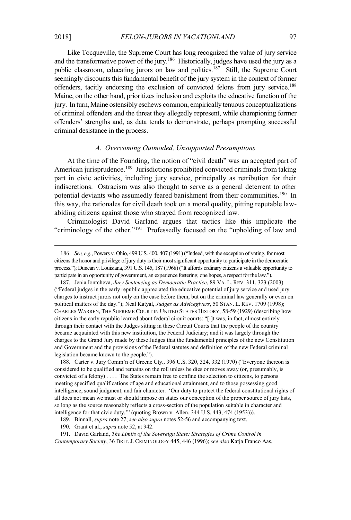1

Like Tocqueville, the Supreme Court has long recognized the value of jury service and the transformative power of the jury.<sup>186</sup> Historically, judges have used the jury as a public classroom, educating jurors on law and politics.<sup>187</sup> Still, the Supreme Court seemingly discounts this fundamental benefit of the jury system in the context of former offenders, tacitly endorsing the exclusion of convicted felons from jury service.188 Maine, on the other hand, prioritizes inclusion and exploits the educative function of the jury. In turn, Maine ostensibly eschews common, empirically tenuous conceptualizations of criminal offenders and the threat they allegedly represent, while championing former offenders' strengths and, as data tends to demonstrate, perhaps prompting successful criminal desistance in the process.

#### *A. Overcoming Outmoded, Unsupported Presumptions*

At the time of the Founding, the notion of "civil death" was an accepted part of American jurisprudence.<sup>189</sup> Jurisdictions prohibited convicted criminals from taking part in civic activities, including jury service, principally as retribution for their indiscretions. Ostracism was also thought to serve as a general deterrent to other potential deviants who assumedly feared banishment from their communities.<sup>190</sup> In this way, the rationales for civil death took on a moral quality, pitting reputable lawabiding citizens against those who strayed from recognized law.

Criminologist David Garland argues that tactics like this implicate the "criminology of the other."<sup>191</sup> Professedly focused on the "upholding of law and

188. Carter v. Jury Comm'n of Greene Cty., 396 U.S. 320, 324, 332 (1970) ("Everyone thereon is considered to be qualified and remains on the roll unless he dies or moves away (or, presumably, is convicted of a felony) . . . . The States remain free to confine the selection to citizens, to persons meeting specified qualifications of age and educational attainment, and to those possessing good intelligence, sound judgment, and fair character. 'Our duty to protect the federal constitutional rights of all does not mean we must or should impose on states our conception of the proper source of jury lists, so long as the source reasonably reflects a cross-section of the population suitable in character and intelligence for that civic duty.'" (quoting Brown v. Allen, 344 U.S. 443, 474 (1953))).

189. Binnall, *supra* note 27; *see also supra* notes 52-56 and accompanying text.

191. David Garland, *The Limits of the Sovereign State: Strategies of Crime Control in Contemporary Society*, 36 BRIT. J. CRIMINOLOGY 445, 446 (1996); *see also* Katja Franco Aas,

<sup>186.</sup> *See, e.g.*, Powers v. Ohio, 499 U.S. 400, 407 (1991) ("Indeed, with the exception of voting, for most citizens the honor and privilege of jury duty is their most significant opportunity to participate in the democratic process."); Duncan v. Louisiana, 391 U.S. 145, 187 (1968) ("It affords ordinary citizens a valuable opportunity to participate in an opportunity of government, an experience fostering, one hopes, a respect for the law.").

<sup>187.</sup> Jenia Iontcheva, *Jury Sentencing as Democratic Practice*, 89 VA. L. REV. 311, 323 (2003) ("Federal judges in the early republic appreciated the educative potential of jury service and used jury charges to instruct jurors not only on the case before them, but on the criminal law generally or even on political matters of the day."); Neal Katyal, *Judges as Advicegivers*, 50 STAN. L. REV. 1709 (1998); CHARLES WARREN, THE SUPREME COURT IN UNITED STATES HISTORY, 58-59 (1929) (describing how citizens in the early republic learned about federal circuit courts: "[i]t was, in fact, almost entirely through their contact with the Judges sitting in these Circuit Courts that the people of the country became acquainted with this new institution, the Federal Judiciary; and it was largely through the charges to the Grand Jury made by these Judges that the fundamental principles of the new Constitution and Government and the provisions of the Federal statutes and definition of the new Federal criminal legislation became known to the people.").

<sup>190.</sup> Grant et al., *supra* note 52, at 942.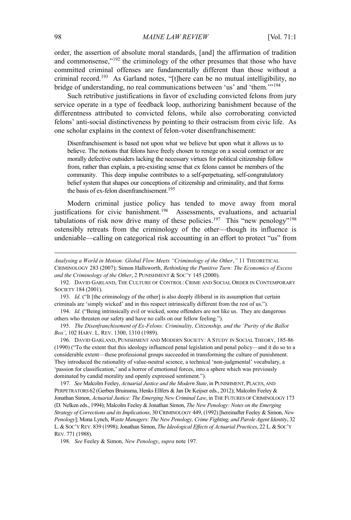order, the assertion of absolute moral standards, [and] the affirmation of tradition and commonsense,"<sup>192</sup> the criminology of the other presumes that those who have committed criminal offenses are fundamentally different than those without a criminal record.193 As Garland notes, "[t]here can be no mutual intelligibility, no bridge of understanding, no real communications between 'us' and 'them.'"<sup>194</sup>

Such retributive justifications in favor of excluding convicted felons from jury service operate in a type of feedback loop, authorizing banishment because of the differentness attributed to convicted felons, while also corroborating convicted felons' anti-social distinctiveness by pointing to their ostracism from civic life. As one scholar explains in the context of felon-voter disenfranchisement:

Disenfranchisement is based not upon what we believe but upon what it allows us to believe. The notions that felons have freely chosen to renege on a social contract or are morally defective outsiders lacking the necessary virtues for political citizenship follow from, rather than explain, a pre-existing sense that ex felons cannot be members of the community. This deep impulse contributes to a self-perpetuating, self-congratulatory belief system that shapes our conceptions of citizenship and criminality, and that forms the basis of ex-felon disenfranchisement.<sup>195</sup>

Modern criminal justice policy has tended to move away from moral justifications for civic banishment.<sup>196</sup> Assessments, evaluations, and actuarial tabulations of risk now drive many of these policies.<sup>197</sup> This "new penology"<sup>198</sup> ostensibly retreats from the criminology of the other—though its influence is undeniable—calling on categorical risk accounting in an effort to protect "us" from

193. *Id.* ("It [the criminology of the other] is also deeply illiberal in its assumption that certain criminals are 'simply wicked' and in this respect intrinsically different from the rest of us.").

194. *Id.* ("Being intrinsically evil or wicked, some offenders are not like us. They are dangerous others who threaten our safety and have no calls on our fellow feeling.").

196. DAVID GARLAND, PUNISHMENT AND MODERN SOCIETY: A STUDY IN SOCIAL THEORY, 185-86 (1990) ("To the extent that this ideology influenced penal legislation and penal policy—and it do so to a considerable extent—these professional groups succeeded in transforming the culture of punishment. They introduced the rationality of value-neutral science, a technical 'non-judgmental' vocabulary, a 'passion for classification,' and a horror of emotional forces, into a sphere which was previously dominated by candid morality and openly expressed sentiment.").

197. *See* Malcolm Feeley, *Actuarial Justice and the Modern State*, in PUNISHMENT, PLACES, AND PERPETRATORS 62 (Gerben Bruinsma, Henks Ellfers & Jan De Keijser eds., 2012); Malcolm Feeley & Jonathan Simon, *Actuarial Justice: The Emerging New Criminal Law*, in THE FUTURES OF CRIMINOLOGY 173 (D. Nelken eds., 1994); Malcolm Feeley & Jonathan Simon, *The New Penology: Notes on the Emerging Strategy of Corrections and its Implications*, 30 CRIMINOLOGY 449, (1992) [hereinafter Feeley & Simon, *New Penology*]; Mona Lynch, *Waste Managers: The New Penology, Crime Fighting, and Parole Agent Identity*, 32 L. & SOC'Y REV. 839 (1998); Jonathan Simon, *The Ideological Effects of Actuarial Practices*, 22 L. & SOC'Y REV. 771 (1988).

198. *See* Feeley & Simon, *New Penology*, *supra* note 197.

*Analysing a World in Motion: Global Flow Meets "Criminology of the Other*,*"* 11 THEORETICAL CRIMINOLOGY 283 (2007); Simon Hallsworth, *Rethinking the Punitive Turn: The Economics of Excess*  and the Criminology of the Other, 2 PUNISHMENT & SOC'Y 145 (2000).

<sup>192.</sup> DAVID GARLAND, THE CULTURE OF CONTROL: CRIME AND SOCIAL ORDER IN CONTEMPORARY SOCIETY 184 (2001).

<sup>195.</sup> *The Disenfranchisement of Ex-Felons: Criminality, Citizenship, and the 'Purity of the Ballot Box'*, 102 HARV. L. REV. 1300, 1310 (1989).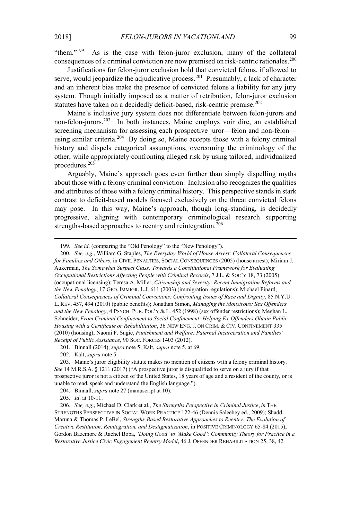$\overline{a}$ 

"them."<sup>199</sup> As is the case with felon-juror exclusion, many of the collateral consequences of a criminal conviction are now premised on risk-centric rationales.<sup>200</sup>

Justifications for felon-juror exclusion hold that convicted felons, if allowed to serve, would jeopardize the adjudicative process.<sup>201</sup> Presumably, a lack of character and an inherent bias make the presence of convicted felons a liability for any jury system. Though initially imposed as a matter of retribution, felon-juror exclusion statutes have taken on a decidedly deficit-based, risk-centric premise.<sup>202</sup>

Maine's inclusive jury system does not differentiate between felon-jurors and non-felon-jurors.203 In both instances, Maine employs voir dire, an established screening mechanism for assessing each prospective juror—felon and non-felon using similar criteria.<sup>204</sup> By doing so, Maine accepts those with a felony criminal history and dispels categorical assumptions, overcoming the criminology of the other, while appropriately confronting alleged risk by using tailored, individualized procedures.205

Arguably, Maine's approach goes even further than simply dispelling myths about those with a felony criminal conviction. Inclusion also recognizes the qualities and attributes of those with a felony criminal history. This perspective stands in stark contrast to deficit-based models focused exclusively on the threat convicted felons may pose. In this way, Maine's approach, though long-standing, is decidedly progressive, aligning with contemporary criminological research supporting strengths-based approaches to reentry and reintegration.<sup>206</sup>

<sup>199.</sup> *See id*. (comparing the "Old Penology" to the "New Penology").

<sup>200.</sup> *See, e.g.*, William G. Staples, *The Everyday World of House Arrest: Collateral Consequences for Families and Others*, in CIVIL PENALTIES, SOCIAL CONSEQUENCES (2005) (house arrest); Miriam J. Aukerman, *The Somewhat Suspect Class: Towards a Constitutional Framework for Evaluating Occupational Restrictions Affecting People with Criminal Records*, 7 J.L. & SOC'Y 18, 73 (2005) (occupational licensing); Teresa A. Miller, *Citizenship and Severity: Recent Immigration Reforms and the New Penology*, 17 GEO. IMMIGR. L.J. 611 (2003) (immigration regulations); Michael Pinard, *Collateral Consequences of Criminal Convictions: Confronting Issues of Race and Dignity*, 85 N.Y.U. L. REV. 457, 494 (2010) (public benefits); Jonathan Simon, *Managing the Monstrous: Sex Offenders and the New Penology*, 4 PSYCH. PUB. POL'Y & L. 452 (1998) (sex offender restrictions); Meghan L. Schneider, *From Criminal Confinement to Social Confinement: Helping Ex-Offenders Obtain Public Housing with a Certificate or Rehabilitation*, 36 NEW ENG. J. ON CRIM.&CIV. CONFINEMENT 335 (2010) (housing); Naomi F. Sugie, *Punishment and Welfare: Paternal Incarceration and Families' Receipt of Public Assistance*, 90 SOC. FORCES 1403 (2012).

<sup>201.</sup> Binnall (2014), *supra* note 5; Kalt, *supra* note 5, at 69.

<sup>202.</sup> Kalt, *supra* note 5.

<sup>203.</sup> Maine's juror eligibility statute makes no mention of citizens with a felony criminal history. *See* 14 M.R.S.A. § 1211 (2017) ("A prospective juror is disqualified to serve on a jury if that prospective juror is not a citizen of the United States, 18 years of age and a resident of the county, or is unable to read, speak and understand the English language.").

<sup>204.</sup> Binnall, *supra* note 27 (manuscript at 10).

<sup>205.</sup> *Id*. at 10-11.

<sup>206.</sup> *See, e.g.*, Michael D. Clark et al., *The Strengths Perspective in Criminal Justice*, *in* THE STRENGTHS PERSPECTIVE IN SOCIAL WORK PRACTICE 122-46 (Dennis Saleebey ed., 2009); Shadd Maruna & Thomas P. LeBel, *Strengths-Based Restorative Approaches to Reentry: The Evolution of Creative Restitution, Reintegration, and Destigmatization*, in POSITIVE CRIMINOLOGY 65-84 (2015); Gordon Bazemore & Rachel Boba, *'Doing Good' to 'Make Good': Community Theory for Practice in a Restorative Justice Civic Engagement Reentry Model*, 46 J. OFFENDER REHABILITATION 25, 38, 42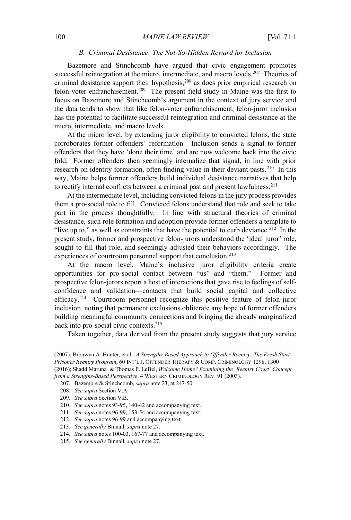#### *B. Criminal Desistance: The Not-So-Hidden Reward for Inclusion*

Bazemore and Stinchcomb have argued that civic engagement promotes successful reintegration at the micro, intermediate, and macro levels.<sup>207</sup> Theories of criminal desistance support their hypothesis,<sup>208</sup> as does prior empirical research on felon-voter enfranchisement.209 The present field study in Maine was the first to focus on Bazemore and Stinchcomb's argument in the context of jury service and the data tends to show that like felon-voter enfranchisement, felon-juror inclusion has the potential to facilitate successful reintegration and criminal desistance at the micro, intermediate, and macro levels.

At the micro level, by extending juror eligibility to convicted felons, the state corroborates former offenders' reformation. Inclusion sends a signal to former offenders that they have 'done their time' and are now welcome back into the civic fold. Former offenders then seemingly internalize that signal, in line with prior research on identity formation, often finding value in their deviant pasts.<sup>210</sup> In this way, Maine helps former offenders build individual desistance narratives that help to rectify internal conflicts between a criminal past and present lawfulness.<sup>211</sup>

At the intermediate level, including convicted felons in the jury process provides them a pro-social role to fill. Convicted felons understand that role and seek to take part in the process thoughtfully. In line with structural theories of criminal desistance, such role formation and adoption provide former offenders a template to "live up to," as well as constraints that have the potential to curb deviance.<sup>212</sup> In the present study, former and prospective felon-jurors understood the 'ideal juror' role, sought to fill that role, and seemingly adjusted their behaviors accordingly. The experiences of courtroom personnel support that conclusion.<sup>213</sup>

At the macro level, Maine's inclusive juror eligibility criteria create opportunities for pro-social contact between "us" and "them." Former and prospective felon-jurors report a host of interactions that gave rise to feelings of selfconfidence and validation—contacts that build social capital and collective efficacy.214 Courtroom personnel recognize this positive feature of felon-juror inclusion, noting that permanent exclusions obliterate any hope of former offenders building meaningful community connections and bringing the already marginalized back into pro-social civic contexts.<sup>215</sup>

Taken together, data derived from the present study suggests that jury service

- 211. *See supra* notes 96-99, 153-54 and accompanying text.
- 212. *See supra* notes 96-99 and accompanying text.
- 213. *See generally* Binnall, *supra* note 27.
- 214. *See supra* notes 100-03, 167-77 and accompanying text.
- 215. *See generally* Binnall, *supra* note 27.

<sup>(2007);</sup> Bronwyn A. Hunter, et al., *A Strengths-Based Approach to Offender Reentry: The Fresh Start Prisoner Reentry Program*, 60 INT'L J. OFFENDER THERAPY & COMP. CRIMINOLOGY 1298, 1300 (2016); Shadd Maruna & Thomas P. LeBel, *Welcome Home? Examining the 'Reentry Court' Concept from a Strengths-Based Perspective*, 4 WESTERN CRIMINOLOGY REV. 91 (2003).

<sup>207.</sup> Bazemore & Stinchcomb, *supra* note 23, at 247-50.

<sup>208.</sup> *See supra* Section V.A.

<sup>209.</sup> *See supra* Section V.B.

<sup>210.</sup> *See supra* notes 93-95, 140-42 and accompanying text.